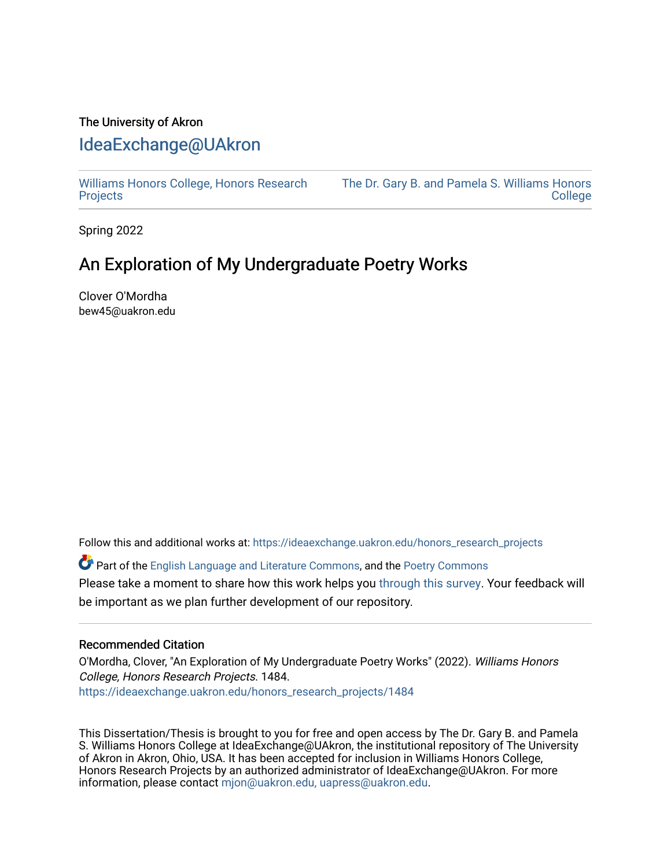# The University of Akron [IdeaExchange@UAkron](https://ideaexchange.uakron.edu/)

[Williams Honors College, Honors Research](https://ideaexchange.uakron.edu/honors_research_projects)  **[Projects](https://ideaexchange.uakron.edu/honors_research_projects)** 

[The Dr. Gary B. and Pamela S. Williams Honors](https://ideaexchange.uakron.edu/honorscollege_ideas)  [College](https://ideaexchange.uakron.edu/honorscollege_ideas) 

Spring 2022

# An Exploration of My Undergraduate Poetry Works

Clover O'Mordha bew45@uakron.edu

Follow this and additional works at: [https://ideaexchange.uakron.edu/honors\\_research\\_projects](https://ideaexchange.uakron.edu/honors_research_projects?utm_source=ideaexchange.uakron.edu%2Fhonors_research_projects%2F1484&utm_medium=PDF&utm_campaign=PDFCoverPages) 

Part of the [English Language and Literature Commons](http://network.bepress.com/hgg/discipline/455?utm_source=ideaexchange.uakron.edu%2Fhonors_research_projects%2F1484&utm_medium=PDF&utm_campaign=PDFCoverPages), and the [Poetry Commons](http://network.bepress.com/hgg/discipline/1153?utm_source=ideaexchange.uakron.edu%2Fhonors_research_projects%2F1484&utm_medium=PDF&utm_campaign=PDFCoverPages)  Please take a moment to share how this work helps you [through this survey](http://survey.az1.qualtrics.com/SE/?SID=SV_eEVH54oiCbOw05f&URL=https://ideaexchange.uakron.edu/honors_research_projects/1484). Your feedback will be important as we plan further development of our repository.

## Recommended Citation

O'Mordha, Clover, "An Exploration of My Undergraduate Poetry Works" (2022). Williams Honors College, Honors Research Projects. 1484. [https://ideaexchange.uakron.edu/honors\\_research\\_projects/1484](https://ideaexchange.uakron.edu/honors_research_projects/1484?utm_source=ideaexchange.uakron.edu%2Fhonors_research_projects%2F1484&utm_medium=PDF&utm_campaign=PDFCoverPages) 

This Dissertation/Thesis is brought to you for free and open access by The Dr. Gary B. and Pamela S. Williams Honors College at IdeaExchange@UAkron, the institutional repository of The University of Akron in Akron, Ohio, USA. It has been accepted for inclusion in Williams Honors College, Honors Research Projects by an authorized administrator of IdeaExchange@UAkron. For more information, please contact [mjon@uakron.edu, uapress@uakron.edu.](mailto:mjon@uakron.edu,%20uapress@uakron.edu)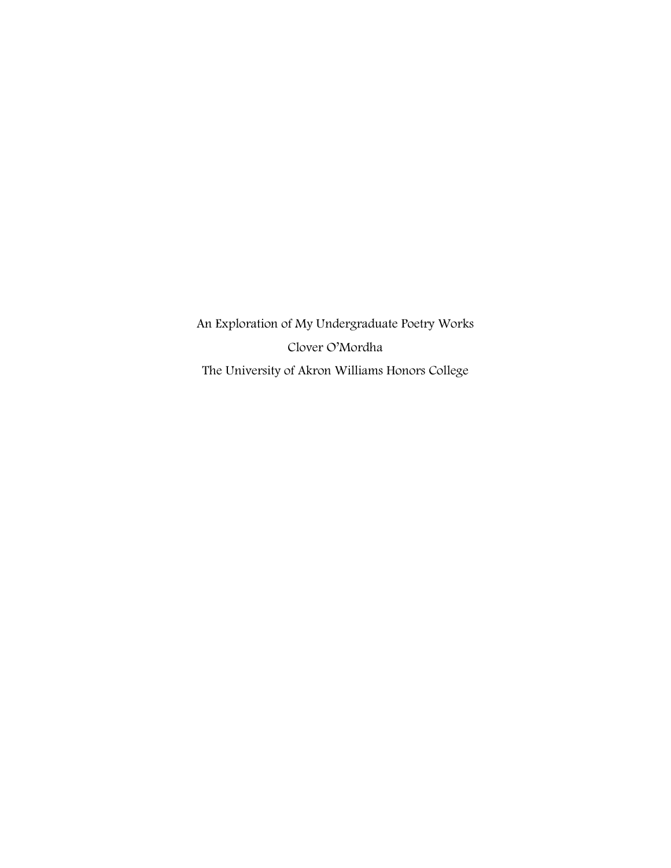An Exploration of My Undergraduate Poetry Works Clover O'Mordha The University of Akron Williams Honors College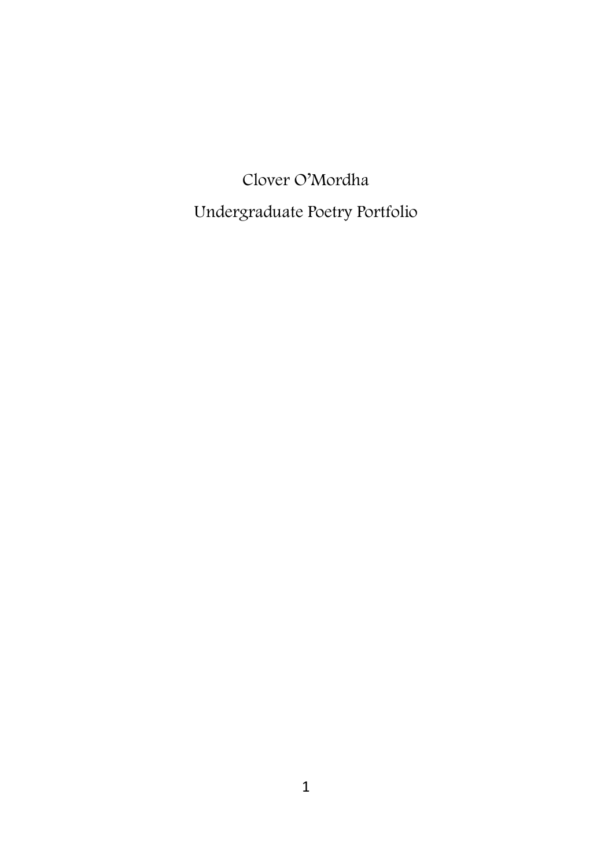Clover O'Mordha Undergraduate Poetry Portfolio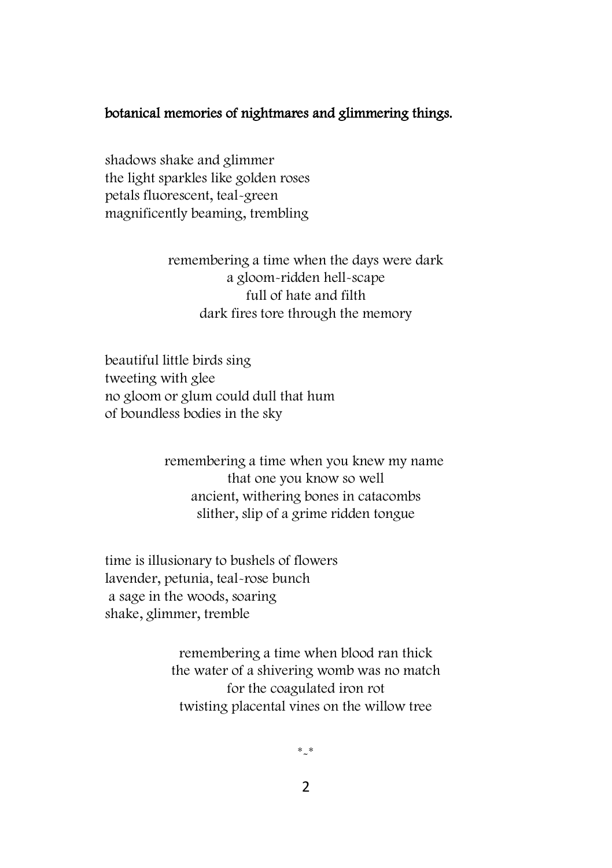#### botanical memories of nightmares and glimmering things.

shadows shake and glimmer the light sparkles like golden roses petals fluorescent, teal-green magnificently beaming, trembling

> remembering a time when the days were dark a gloom-ridden hell-scape full of hate and filth dark fires tore through the memory

beautiful little birds sing tweeting with glee no gloom or glum could dull that hum of boundless bodies in the sky

> remembering a time when you knew my name that one you know so well ancient, withering bones in catacombs slither, slip of a grime ridden tongue

time is illusionary to bushels of flowers lavender, petunia, teal-rose bunch a sage in the woods, soaring shake, glimmer, tremble

> remembering a time when blood ran thick the water of a shivering womb was no match for the coagulated iron rot twisting placental vines on the willow tree

> > \*-\*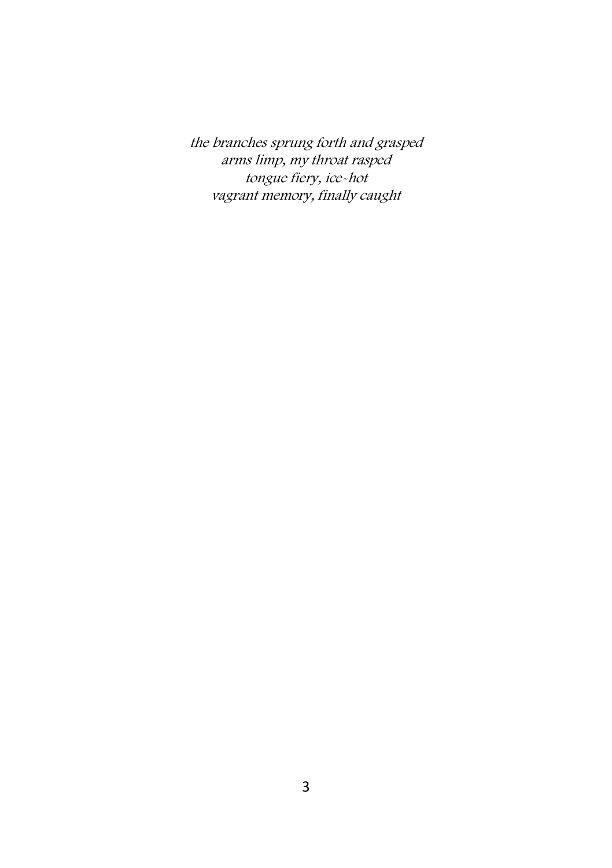the branches sprung forth and grasped arms limp, my throat rasped tongue fiery, ice-hot vagrant memory, finally caught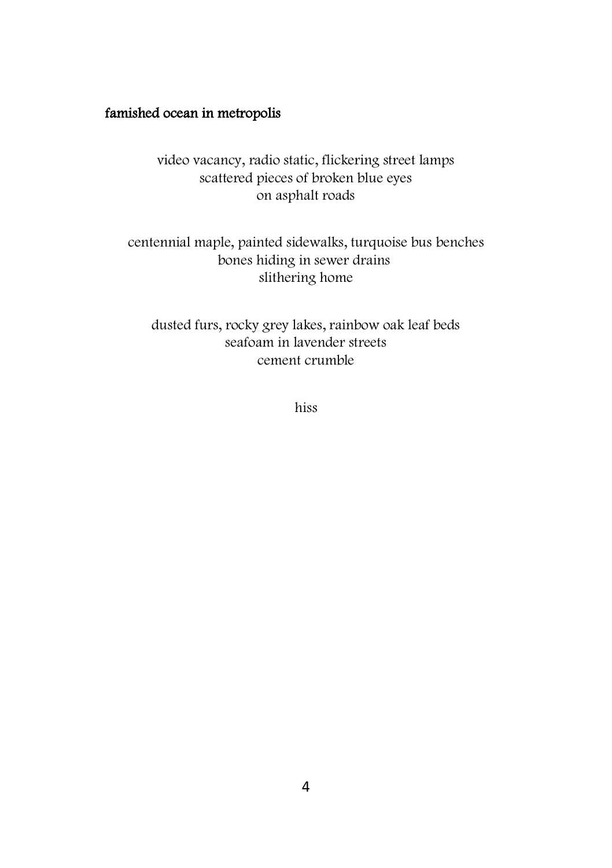## famished ocean in metropolis

video vacancy, radio static, flickering street lamps scattered pieces of broken blue eyes on asphalt roads

centennial maple, painted sidewalks, turquoise bus benches bones hiding in sewer drains slithering home

dusted furs, rocky grey lakes, rainbow oak leaf beds seafoam in lavender streets cement crumble

hiss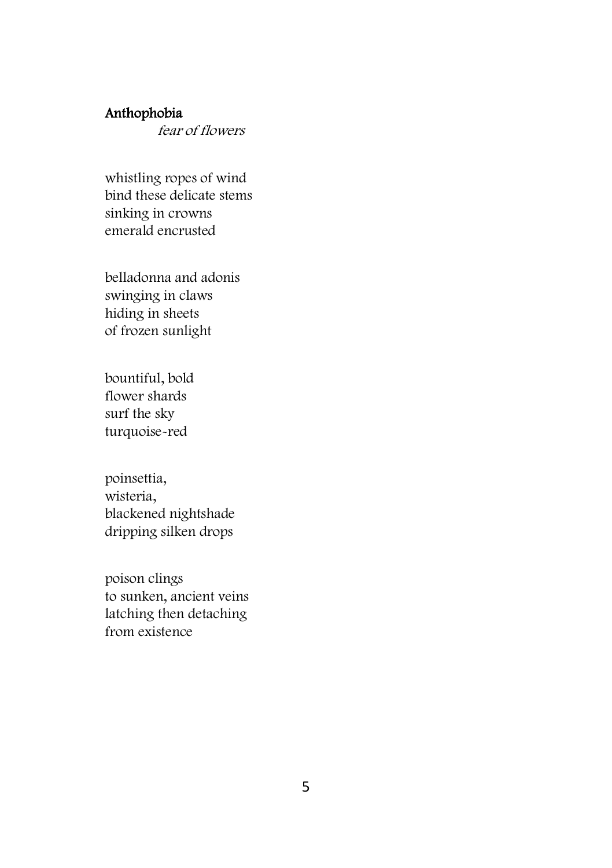## Anthophobia

fear of flowers

whistling ropes of wind bind these delicate stems sinking in crowns emerald encrusted

belladonna and adonis swinging in claws hiding in sheets of frozen sunlight

bountiful, bold flower shards surf the sky turquoise-red

poinsettia, wisteria, blackened nightshade dripping silken drops

poison clings to sunken, ancient veins latching then detaching from existence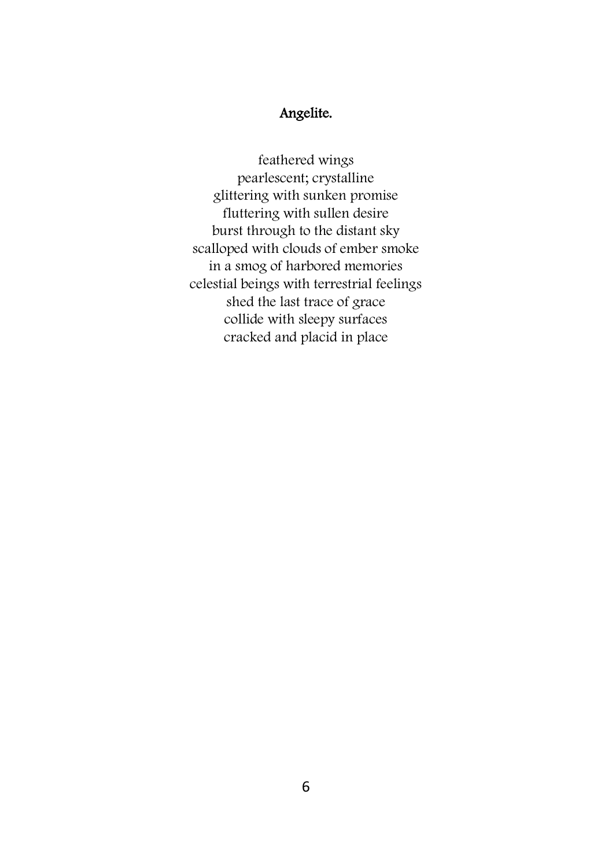## Angelite.

feathered wings pearlescent; crystalline glittering with sunken promise fluttering with sullen desire burst through to the distant sky scalloped with clouds of ember smoke in a smog of harbored memories celestial beings with terrestrial feelings shed the last trace of grace collide with sleepy surfaces cracked and placid in place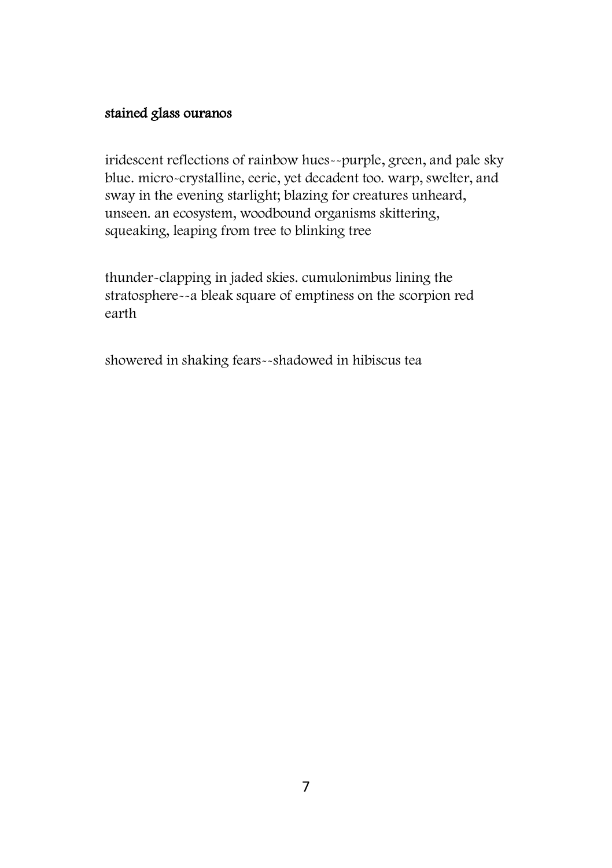## stained glass ouranos

iridescent reflections of rainbow hues--purple, green, and pale sky blue. micro-crystalline, eerie, yet decadent too. warp, swelter, and sway in the evening starlight; blazing for creatures unheard, unseen. an ecosystem, woodbound organisms skittering, squeaking, leaping from tree to blinking tree

thunder-clapping in jaded skies. cumulonimbus lining the stratosphere--a bleak square of emptiness on the scorpion red earth

showered in shaking fears--shadowed in hibiscus tea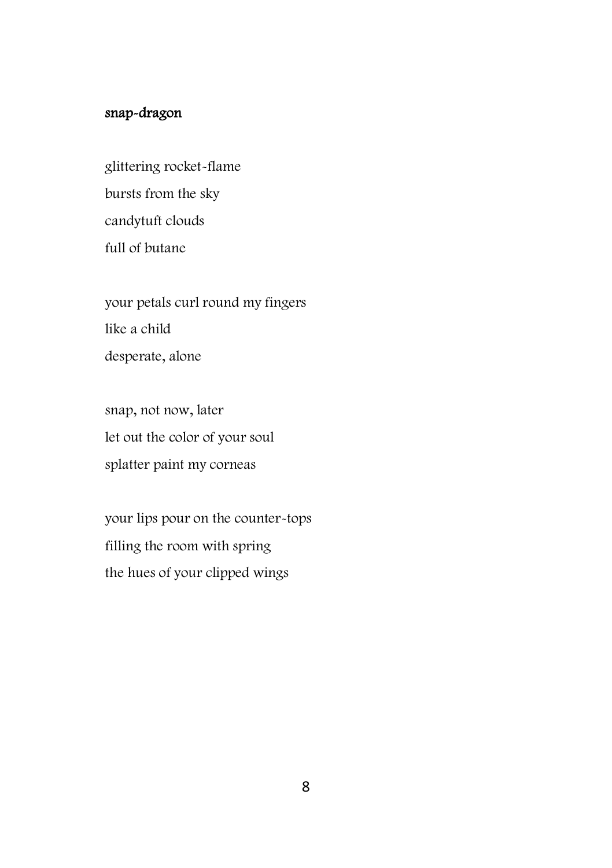## snap-dragon

glittering rocket-flame bursts from the sky candytuft clouds full of butane

your petals curl round my fingers like a child desperate, alone

snap, not now, later let out the color of your soul splatter paint my corneas

your lips pour on the counter-tops filling the room with spring the hues of your clipped wings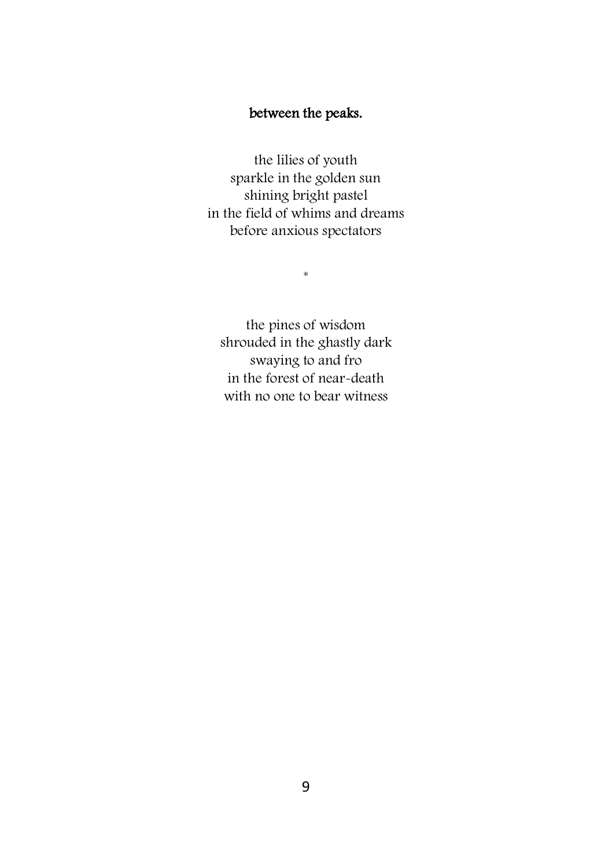## between the peaks.

the lilies of youth sparkle in the golden sun shining bright pastel in the field of whims and dreams before anxious spectators

 $\ast$ 

the pines of wisdom shrouded in the ghastly dark swaying to and fro in the forest of near-death with no one to bear witness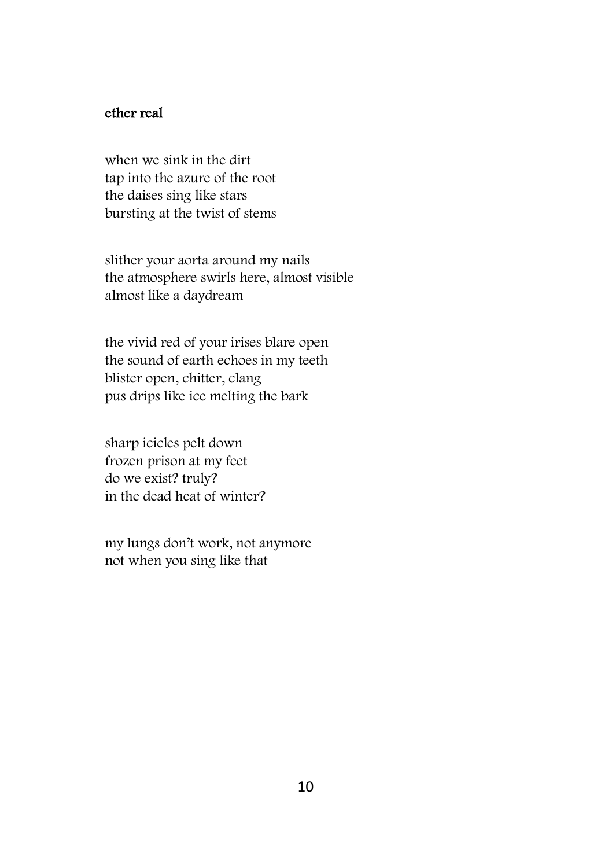## ether real

when we sink in the dirt tap into the azure of the root the daises sing like stars bursting at the twist of stems

slither your aorta around my nails the atmosphere swirls here, almost visible almost like a daydream

the vivid red of your irises blare open the sound of earth echoes in my teeth blister open, chitter, clang pus drips like ice melting the bark

sharp icicles pelt down frozen prison at my feet do we exist? truly? in the dead heat of winter?

my lungs don't work, not anymore not when you sing like that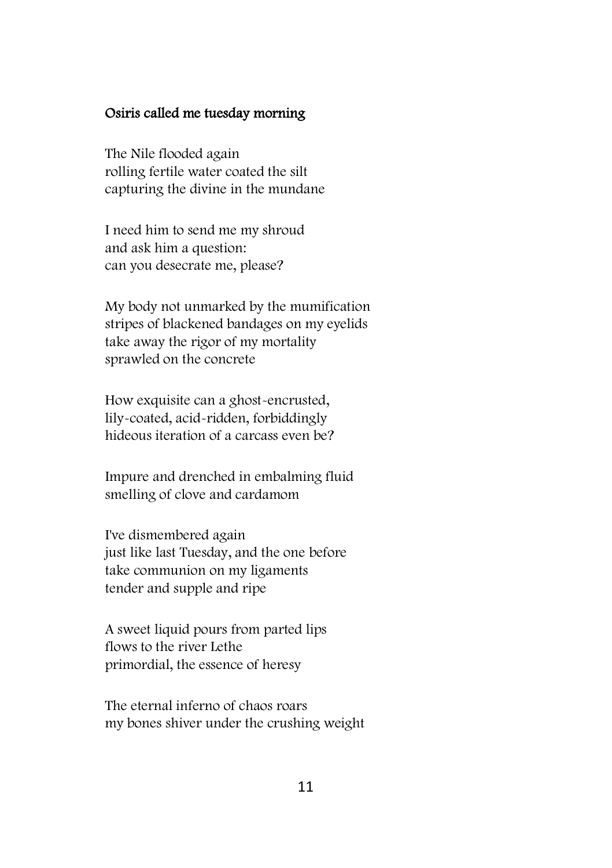#### Osiris called me tuesday morning

The Nile flooded again rolling fertile water coated the silt capturing the divine in the mundane

I need him to send me my shroud and ask him a question: can you desecrate me, please?

My body not unmarked by the mumification stripes of blackened bandages on my eyelids take away the rigor of my mortality sprawled on the concrete

How exquisite can a ghost-encrusted, lily-coated, acid-ridden, forbiddingly hideous iteration of a carcass even be?

Impure and drenched in embalming fluid smelling of clove and cardamom

I've dismembered again just like last Tuesday, and the one before take communion on my ligaments tender and supple and ripe

A sweet liquid pours from parted lips flows to the river Lethe primordial, the essence of heresy

The eternal inferno of chaos roars my bones shiver under the crushing weight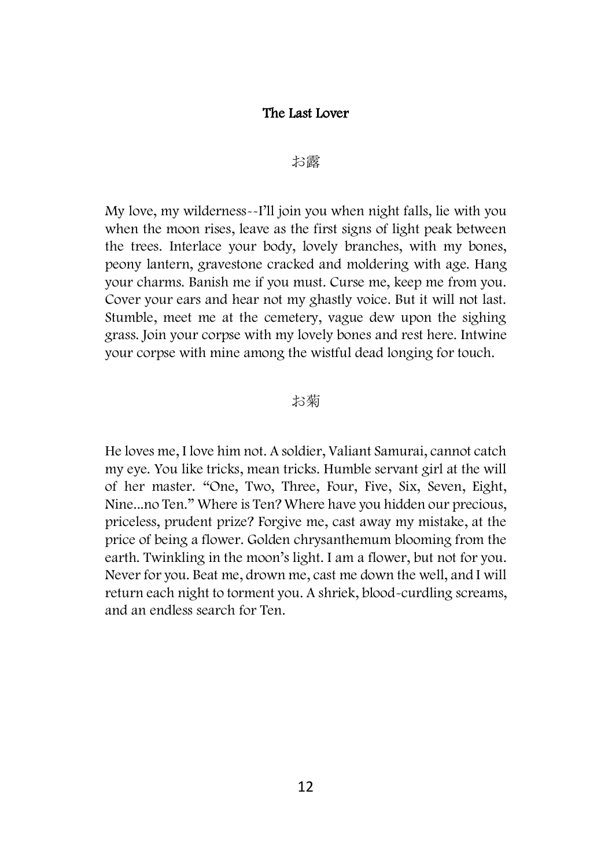#### The Last Lover

#### お露

My love, my wilderness--I'll join you when night falls, lie with you when the moon rises, leave as the first signs of light peak between the trees. Interlace your body, lovely branches, with my bones, peony lantern, gravestone cracked and moldering with age. Hang your charms. Banish me if you must. Curse me, keep me from you. Cover your ears and hear not my ghastly voice. But it will not last. Stumble, meet me at the cemetery, vague dew upon the sighing grass. Join your corpse with my lovely bones and rest here. Intwine your corpse with mine among the wistful dead longing for touch.

#### お菊

He loves me, I love him not. A soldier, Valiant Samurai, cannot catch my eye. You like tricks, mean tricks. Humble servant girl at the will of her master. "One, Two, Three, Four, Five, Six, Seven, Eight, Nine...no Ten." Where is Ten? Where have you hidden our precious, priceless, prudent prize? Forgive me, cast away my mistake, at the price of being a flower. Golden chrysanthemum blooming from the earth. Twinkling in the moon's light. I am a flower, but not for you. Never for you. Beat me, drown me, cast me down the well, and I will return each night to torment you. A shriek, blood-curdling screams, and an endless search for Ten.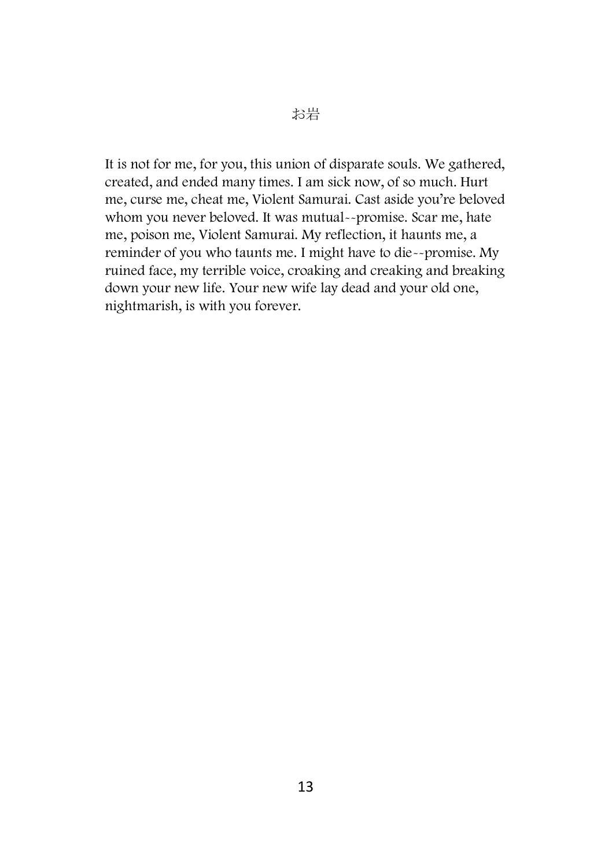It is not for me, for you, this union of disparate souls. We gathered, created, and ended many times. I am sick now, of so much. Hurt me, curse me, cheat me, Violent Samurai. Cast aside you're beloved whom you never beloved. It was mutual--promise. Scar me, hate me, poison me, Violent Samurai. My reflection, it haunts me, a reminder of you who taunts me. I might have to die--promise. My ruined face, my terrible voice, croaking and creaking and breaking down your new life. Your new wife lay dead and your old one, nightmarish, is with you forever.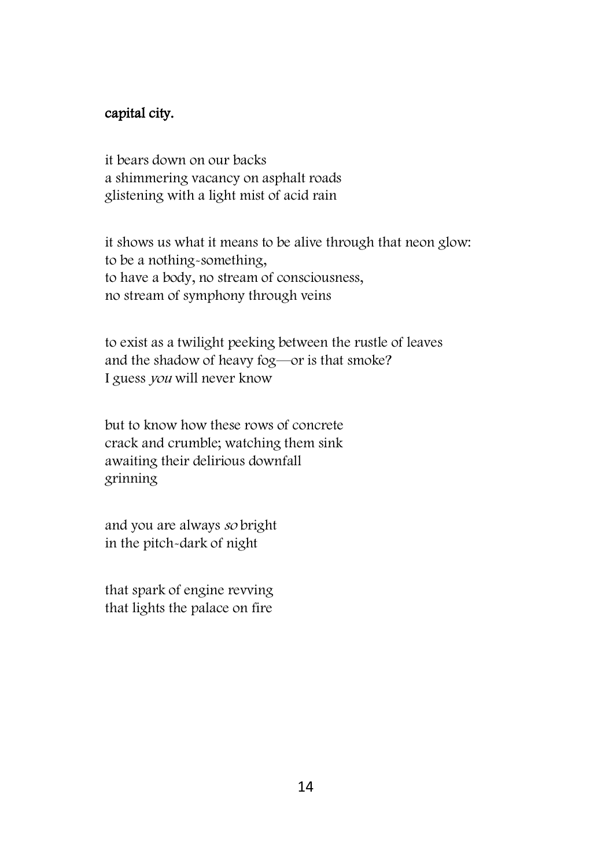#### capital city.

it bears down on our backs a shimmering vacancy on asphalt roads glistening with a light mist of acid rain

it shows us what it means to be alive through that neon glow: to be a nothing-something, to have a body, no stream of consciousness, no stream of symphony through veins

to exist as a twilight peeking between the rustle of leaves and the shadow of heavy fog—or is that smoke? I guess you will never know

but to know how these rows of concrete crack and crumble; watching them sink awaiting their delirious downfall grinning

and you are always so bright in the pitch-dark of night

that spark of engine revving that lights the palace on fire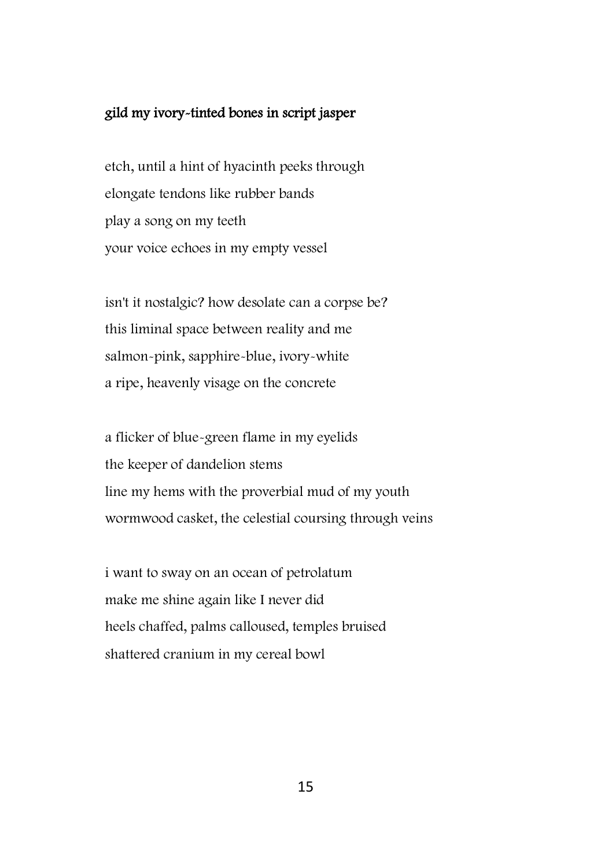### gild my ivory-tinted bones in script jasper

etch, until a hint of hyacinth peeks through elongate tendons like rubber bands play a song on my teeth your voice echoes in my empty vessel

isn't it nostalgic? how desolate can a corpse be? this liminal space between reality and me salmon-pink, sapphire-blue, ivory-white a ripe, heavenly visage on the concrete

a flicker of blue-green flame in my eyelids the keeper of dandelion stems line my hems with the proverbial mud of my youth wormwood casket, the celestial coursing through veins

i want to sway on an ocean of petrolatum make me shine again like I never did heels chaffed, palms calloused, temples bruised shattered cranium in my cereal bowl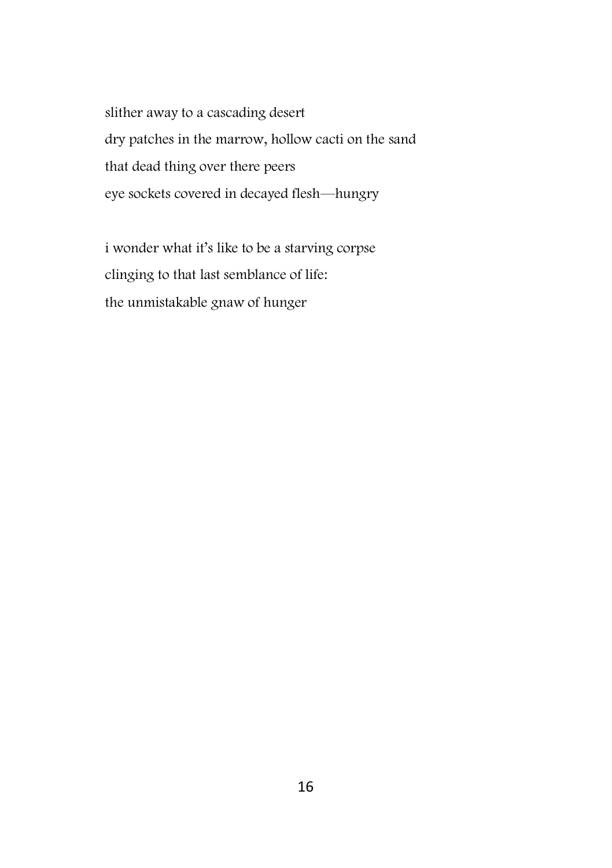slither away to a cascading desert dry patches in the marrow, hollow cacti on the sand that dead thing over there peers eye sockets covered in decayed flesh—hungry

i wonder what it's like to be a starving corpse clinging to that last semblance of life: the unmistakable gnaw of hunger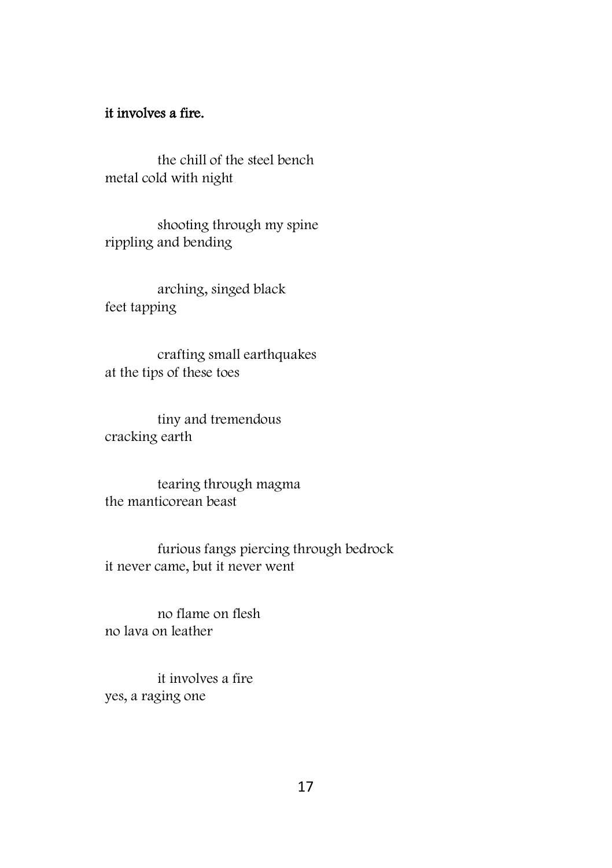## it involves a fire.

the chill of the steel bench metal cold with night

shooting through my spine rippling and bending

arching, singed black feet tapping

crafting small earthquakes at the tips of these toes

tiny and tremendous cracking earth

tearing through magma the manticorean beast

furious fangs piercing through bedrock it never came, but it never went

no flame on flesh no lava on leather

it involves a fire yes, a raging one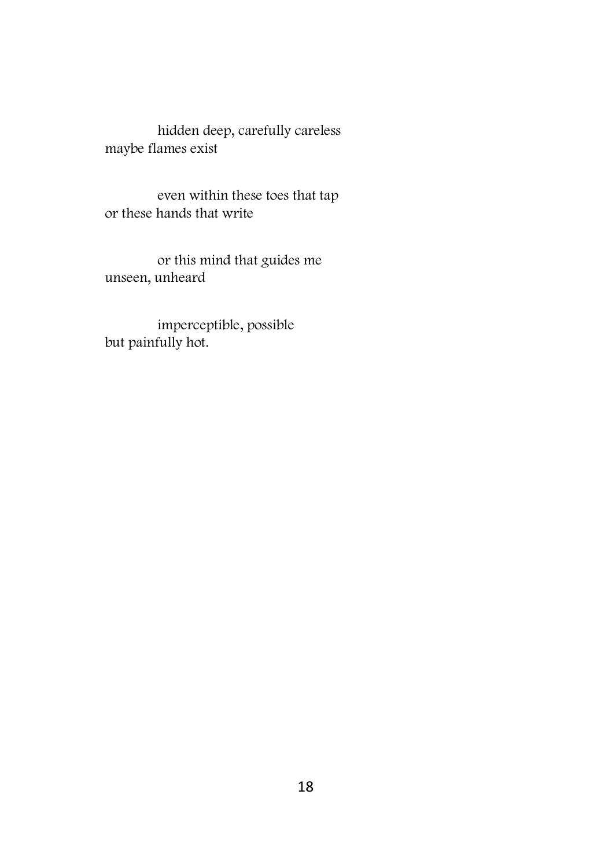hidden deep, carefully careless maybe flames exist

even within these toes that tap or these hands that write

or this mind that guides me unseen, unheard

imperceptible, possible but painfully hot.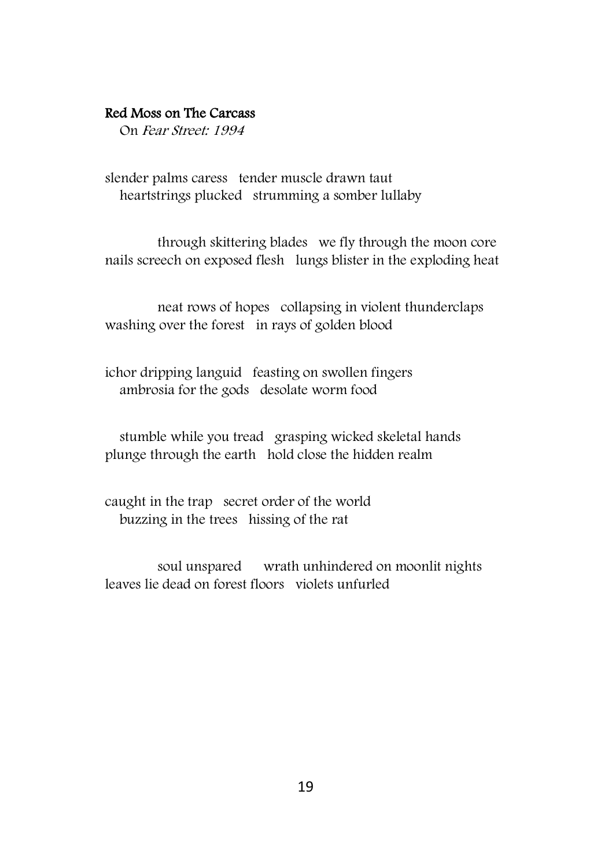#### Red Moss on The Carcass

On Fear Street: 1994

slender palms caress tender muscle drawn taut heartstrings plucked strumming a somber lullaby

through skittering blades we fly through the moon core nails screech on exposed flesh lungs blister in the exploding heat

neat rows of hopes collapsing in violent thunderclaps washing over the forest in rays of golden blood

ichor dripping languid feasting on swollen fingers ambrosia for the gods desolate worm food

 stumble while you tread grasping wicked skeletal hands plunge through the earth hold close the hidden realm

caught in the trap secret order of the world buzzing in the trees hissing of the rat

soul unspared wrath unhindered on moonlit nights leaves lie dead on forest floors violets unfurled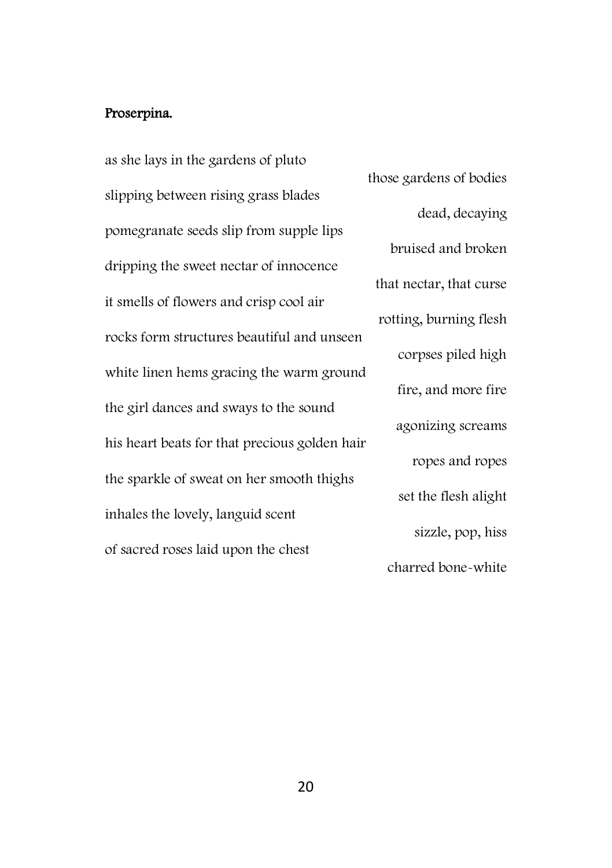## Proserpina.

as she lays in the gardens of pluto slipping between rising grass blades pomegranate seeds slip from supple lips dripping the sweet nectar of innocence it smells of flowers and crisp cool air rocks form structures beautiful and unseen white linen hems gracing the warm ground the girl dances and sways to the sound his heart beats for that precious golden hair the sparkle of sweat on her smooth thighs inhales the lovely, languid scent of sacred roses laid upon the chest

those gardens of bodies dead, decaying bruised and broken that nectar, that curse rotting, burning flesh corpses piled high fire, and more fire agonizing screams ropes and ropes set the flesh alight sizzle, pop, hiss charred bone-white

20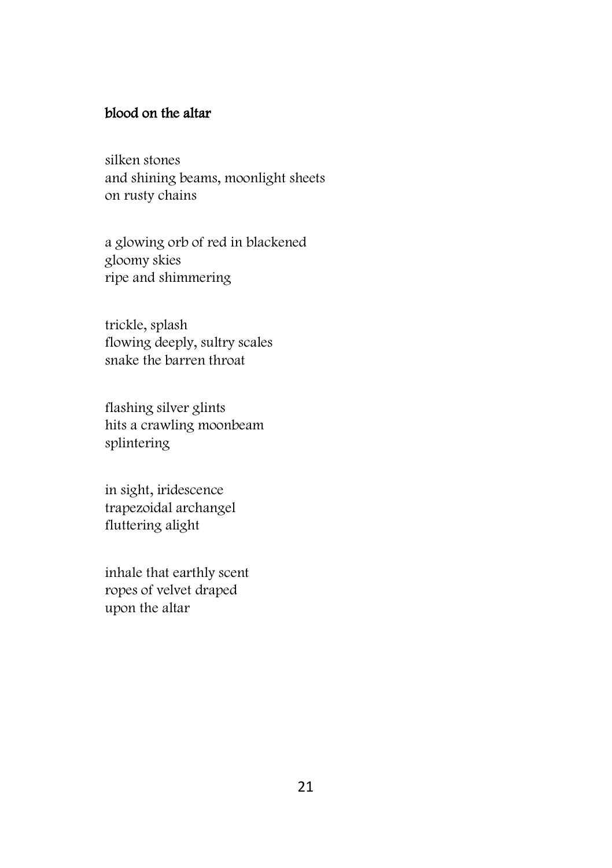## blood on the altar

silken stones and shining beams, moonlight sheets on rusty chains

a glowing orb of red in blackened gloomy skies ripe and shimmering

trickle, splash flowing deeply, sultry scales snake the barren throat

flashing silver glints hits a crawling moonbeam splintering

in sight, iridescence trapezoidal archangel fluttering alight

inhale that earthly scent ropes of velvet draped upon the altar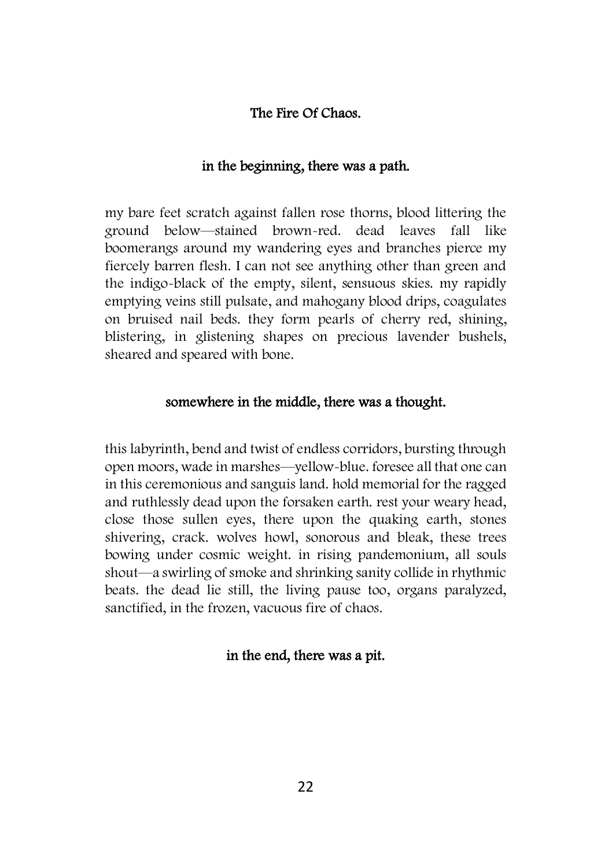#### The Fire Of Chaos.

#### in the beginning, there was a path.

my bare feet scratch against fallen rose thorns, blood littering the ground below—stained brown-red. dead leaves fall like boomerangs around my wandering eyes and branches pierce my fiercely barren flesh. I can not see anything other than green and the indigo-black of the empty, silent, sensuous skies. my rapidly emptying veins still pulsate, and mahogany blood drips, coagulates on bruised nail beds. they form pearls of cherry red, shining, blistering, in glistening shapes on precious lavender bushels, sheared and speared with bone.

#### somewhere in the middle, there was a thought.

this labyrinth, bend and twist of endless corridors, bursting through open moors, wade in marshes—yellow-blue. foresee all that one can in this ceremonious and sanguis land. hold memorial for the ragged and ruthlessly dead upon the forsaken earth. rest your weary head, close those sullen eyes, there upon the quaking earth, stones shivering, crack. wolves howl, sonorous and bleak, these trees bowing under cosmic weight. in rising pandemonium, all souls shout—a swirling of smoke and shrinking sanity collide in rhythmic beats. the dead lie still, the living pause too, organs paralyzed, sanctified, in the frozen, vacuous fire of chaos.

#### in the end, there was a pit.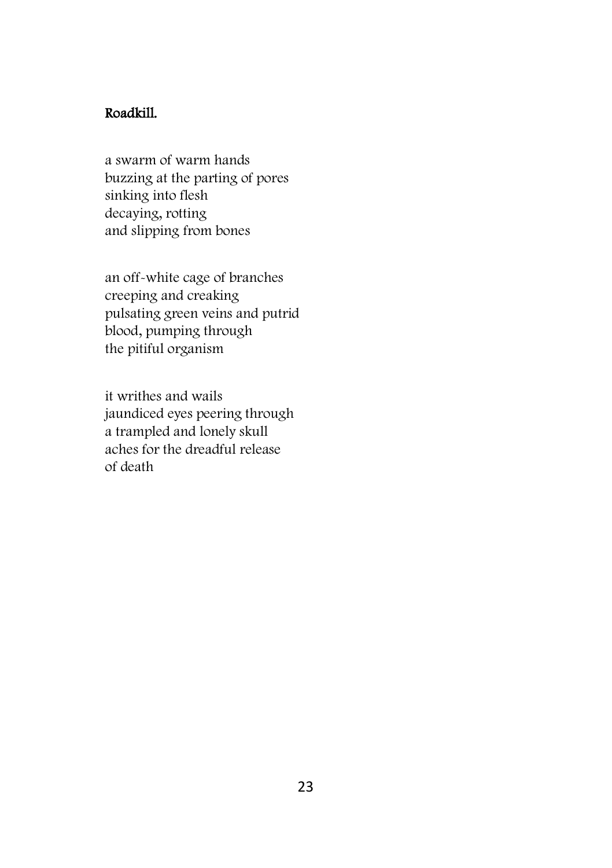#### Roadkill.

a swarm of warm hands buzzing at the parting of pores sinking into flesh decaying, rotting and slipping from bones

an off-white cage of branches creeping and creaking pulsating green veins and putrid blood, pumping through the pitiful organism

it writhes and wails jaundiced eyes peering through a trampled and lonely skull aches for the dreadful release of death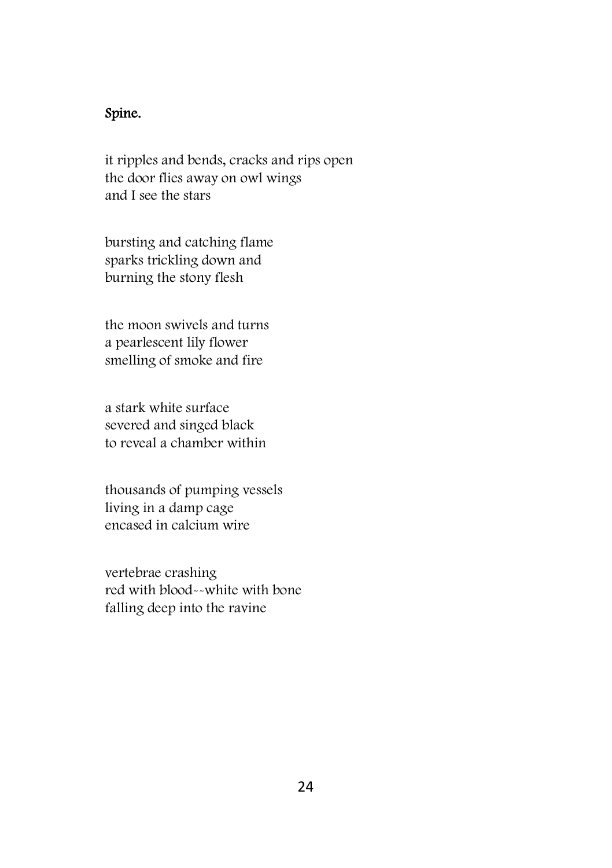## Spine.

it ripples and bends, cracks and rips open the door flies away on owl wings and I see the stars

bursting and catching flame sparks trickling down and burning the stony flesh

the moon swivels and turns a pearlescent lily flower smelling of smoke and fire

a stark white surface severed and singed black to reveal a chamber within

thousands of pumping vessels living in a damp cage encased in calcium wire

vertebrae crashing red with blood--white with bone falling deep into the ravine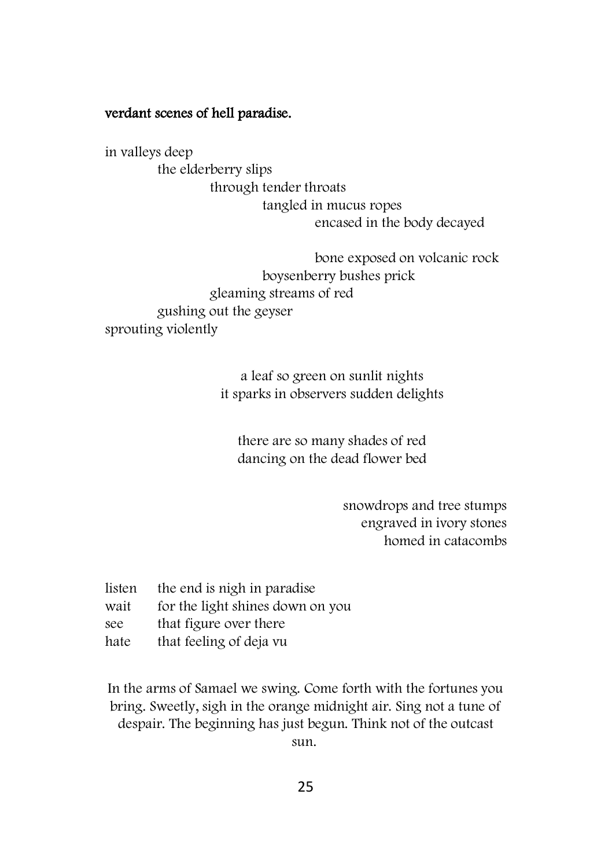#### verdant scenes of hell paradise.

in valleys deep the elderberry slips through tender throats tangled in mucus ropes encased in the body decayed

bone exposed on volcanic rock boysenberry bushes prick gleaming streams of red gushing out the geyser sprouting violently

> a leaf so green on sunlit nights it sparks in observers sudden delights

there are so many shades of red dancing on the dead flower bed

> snowdrops and tree stumps engraved in ivory stones homed in catacombs

listen the end is nigh in paradise

- wait for the light shines down on you
- see that figure over there
- hate that feeling of deja vu

In the arms of Samael we swing. Come forth with the fortunes you bring. Sweetly, sigh in the orange midnight air. Sing not a tune of despair. The beginning has just begun. Think not of the outcast sun.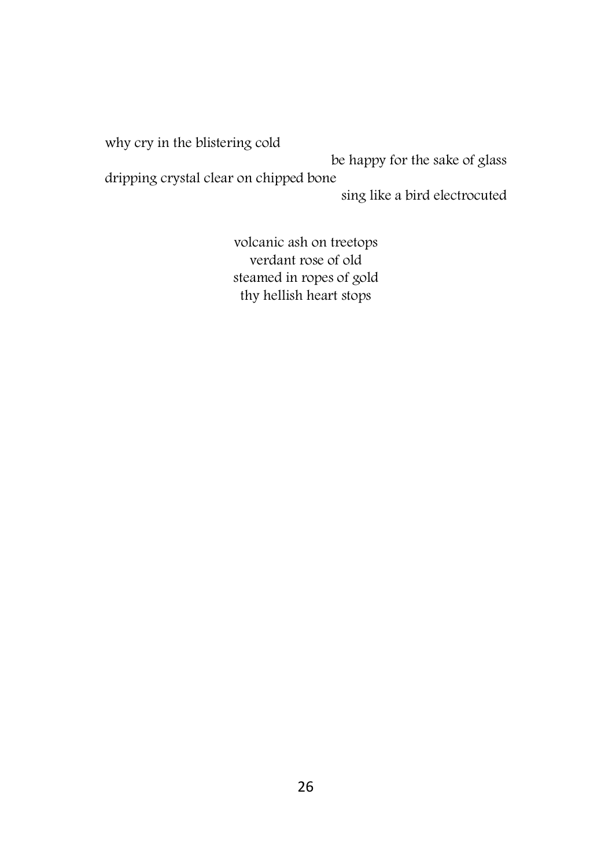why cry in the blistering cold be happy for the sake of glass dripping crystal clear on chipped bone sing like a bird electrocuted

> volcanic ash on treetops verdant rose of old steamed in ropes of gold thy hellish heart stops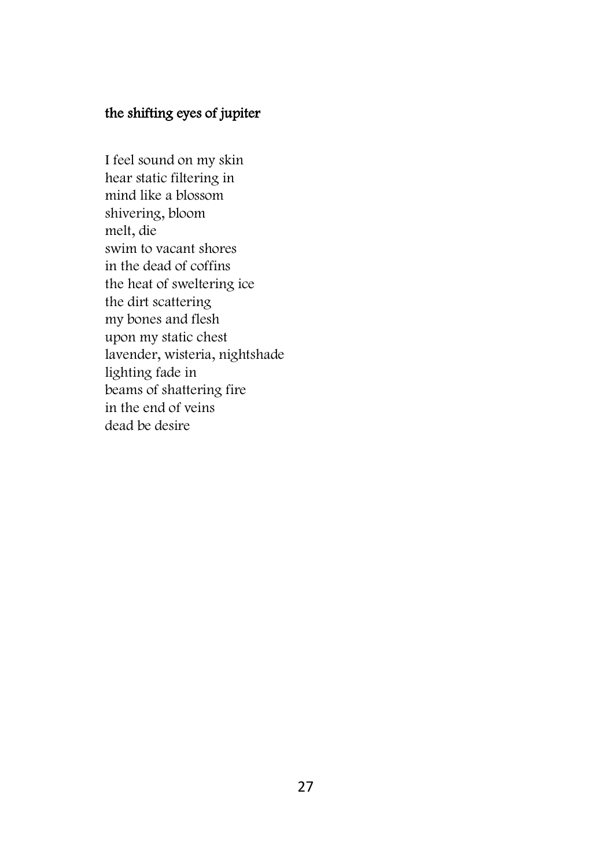## the shifting eyes of jupiter

I feel sound on my skin hear static filtering in mind like a blossom shivering, bloom melt, die swim to vacant shores in the dead of coffins the heat of sweltering ice the dirt scattering my bones and flesh upon my static chest lavender, wisteria, nightshade lighting fade in beams of shattering fire in the end of veins dead be desire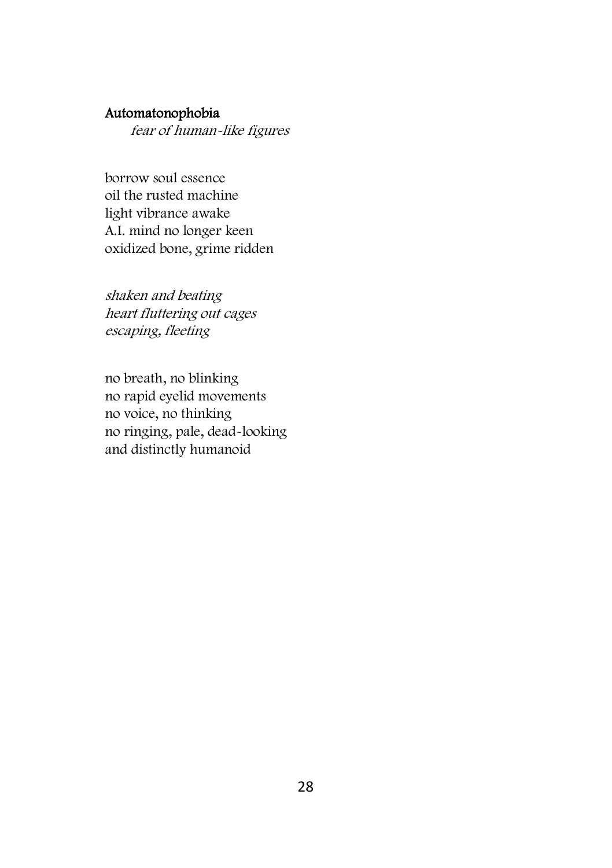#### Automatonophobia

fear of human-like figures

borrow soul essence oil the rusted machine light vibrance awake A.I. mind no longer keen oxidized bone, grime ridden

shaken and beating heart fluttering out cages escaping, fleeting

no breath, no blinking no rapid eyelid movements no voice, no thinking no ringing, pale, dead-looking and distinctly humanoid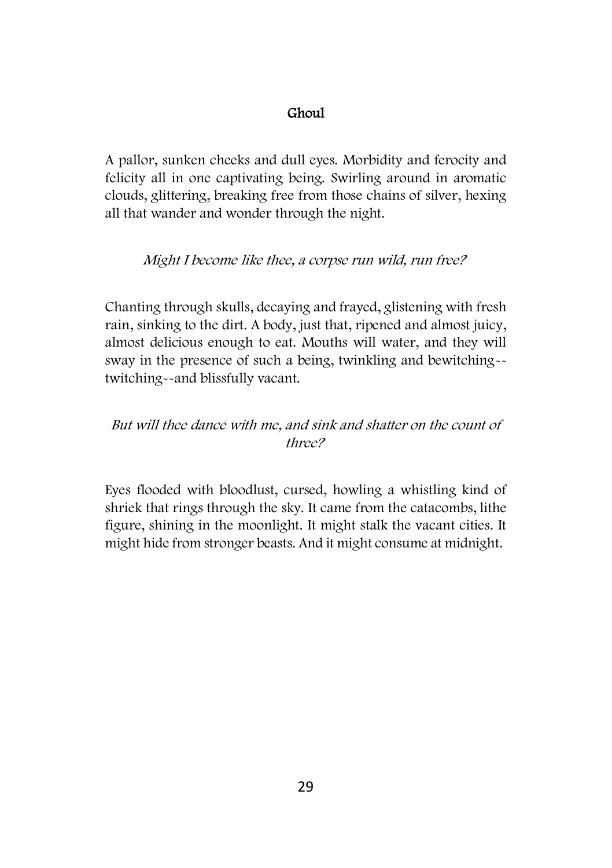#### Ghoul

A pallor, sunken cheeks and dull eyes. Morbidity and ferocity and felicity all in one captivating being. Swirling around in aromatic clouds, glittering, breaking free from those chains of silver, hexing all that wander and wonder through the night.

#### Might I become like thee, a corpse run wild, run free?

Chanting through skulls, decaying and frayed, glistening with fresh rain, sinking to the dirt. A body, just that, ripened and almost juicy, almost delicious enough to eat. Mouths will water, and they will sway in the presence of such a being, twinkling and bewitching- twitching--and blissfully vacant.

## But will thee dance with me, and sink and shatter on the count of three?

Eyes flooded with bloodlust, cursed, howling a whistling kind of shriek that rings through the sky. It came from the catacombs, lithe figure, shining in the moonlight. It might stalk the vacant cities. It might hide from stronger beasts. And it might consume at midnight.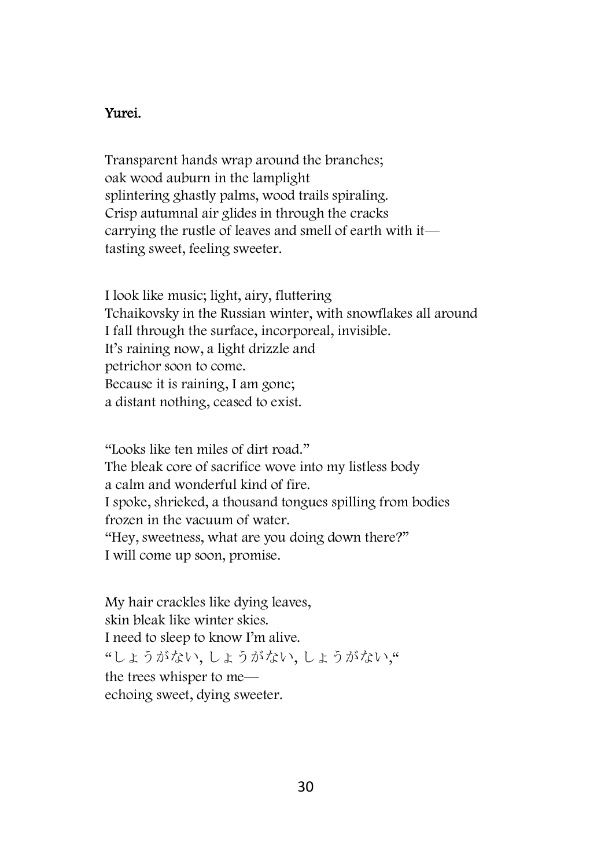#### Yurei.

Transparent hands wrap around the branches; oak wood auburn in the lamplight splintering ghastly palms, wood trails spiraling. Crisp autumnal air glides in through the cracks carrying the rustle of leaves and smell of earth with it tasting sweet, feeling sweeter.

I look like music; light, airy, fluttering Tchaikovsky in the Russian winter, with snowflakes all around I fall through the surface, incorporeal, invisible. It's raining now, a light drizzle and petrichor soon to come. Because it is raining, I am gone; a distant nothing, ceased to exist.

"Looks like ten miles of dirt road." The bleak core of sacrifice wove into my listless body a calm and wonderful kind of fire. I spoke, shrieked, a thousand tongues spilling from bodies frozen in the vacuum of water. "Hey, sweetness, what are you doing down there?" I will come up soon, promise.

My hair crackles like dying leaves, skin bleak like winter skies. I need to sleep to know I'm alive. "しょうがない, しょうがない, しょうがない," the trees whisper to me echoing sweet, dying sweeter.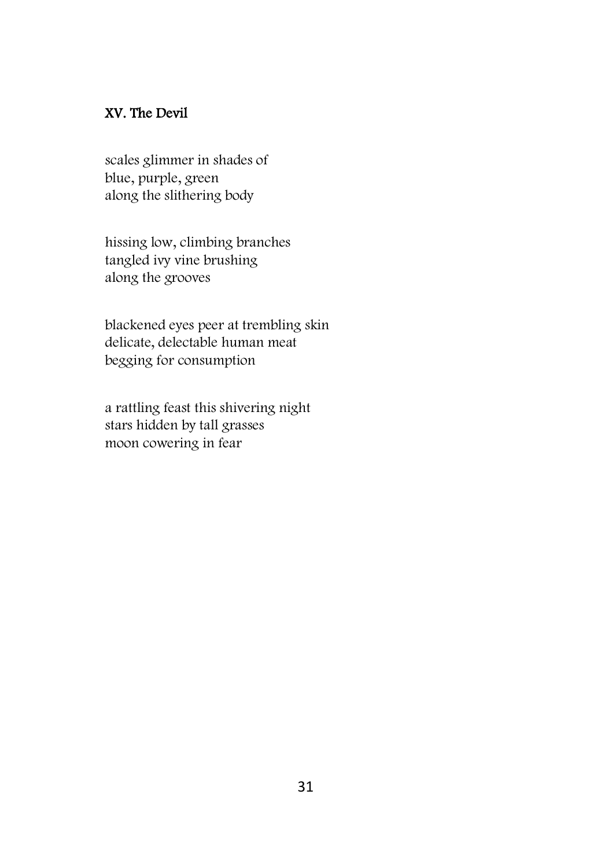## XV. The Devil

scales glimmer in shades of blue, purple, green along the slithering body

hissing low, climbing branches tangled ivy vine brushing along the grooves

blackened eyes peer at trembling skin delicate, delectable human meat begging for consumption

a rattling feast this shivering night stars hidden by tall grasses moon cowering in fear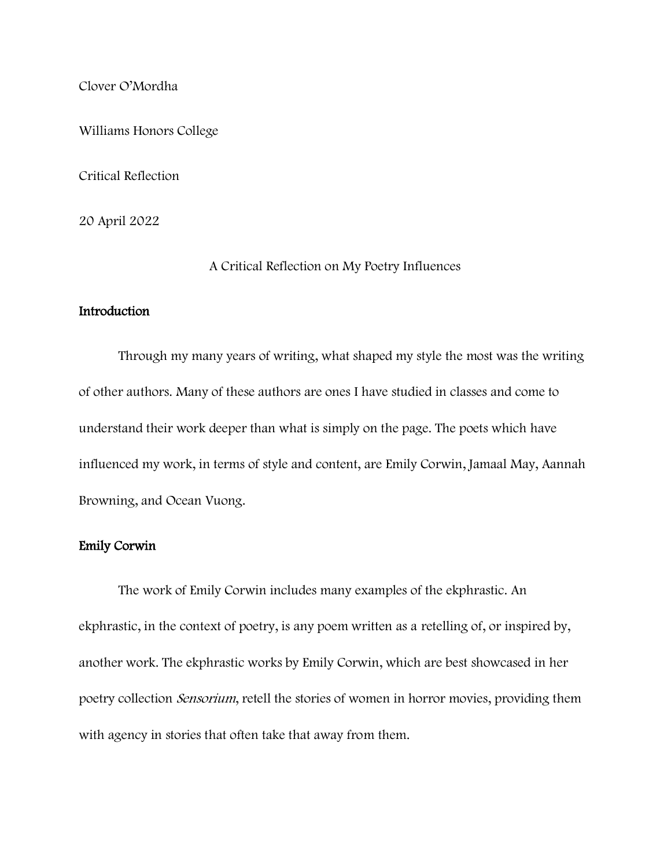Clover O'Mordha

Williams Honors College

Critical Reflection

20 April 2022

A Critical Reflection on My Poetry Influences

# Introduction

Through my many years of writing, what shaped my style the most was the writing of other authors. Many of these authors are ones I have studied in classes and come to understand their work deeper than what is simply on the page. The poets which have influenced my work, in terms of style and content, are Emily Corwin, Jamaal May, Aannah Browning, and Ocean Vuong.

# Emily Corwin

The work of Emily Corwin includes many examples of the ekphrastic. An ekphrastic, in the context of poetry, is any poem written as a retelling of, or inspired by, another work. The ekphrastic works by Emily Corwin, which are best showcased in her poetry collection Sensorium, retell the stories of women in horror movies, providing them with agency in stories that often take that away from them.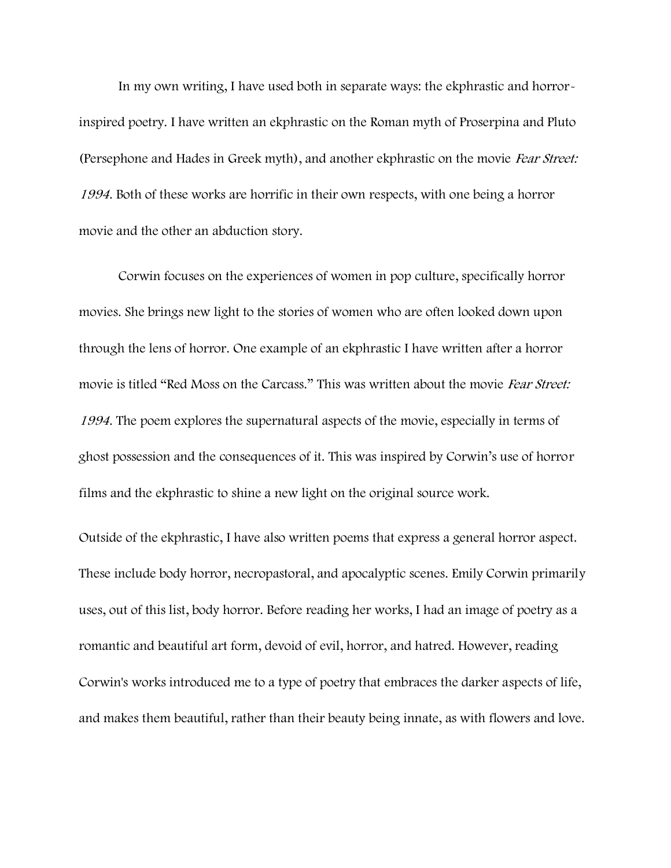In my own writing, I have used both in separate ways: the ekphrastic and horrorinspired poetry. I have written an ekphrastic on the Roman myth of Proserpina and Pluto (Persephone and Hades in Greek myth), and another ekphrastic on the movie Fear Street: <sup>1994</sup>. Both of these works are horrific in their own respects, with one being a horror movie and the other an abduction story.

Corwin focuses on the experiences of women in pop culture, specifically horror movies. She brings new light to the stories of women who are often looked down upon through the lens of horror. One example of an ekphrastic I have written after a horror movie is titled "Red Moss on the Carcass." This was written about the movie Fear Street: 1994. The poem explores the supernatural aspects of the movie, especially in terms of ghost possession and the consequences of it. This was inspired by Corwin's use of horror films and the ekphrastic to shine a new light on the original source work.

Outside of the ekphrastic, I have also written poems that express a general horror aspect. These include body horror, necropastoral, and apocalyptic scenes. Emily Corwin primarily uses, out of this list, body horror. Before reading her works, I had an image of poetry as a romantic and beautiful art form, devoid of evil, horror, and hatred. However, reading Corwin's works introduced me to a type of poetry that embraces the darker aspects of life, and makes them beautiful, rather than their beauty being innate, as with flowers and love.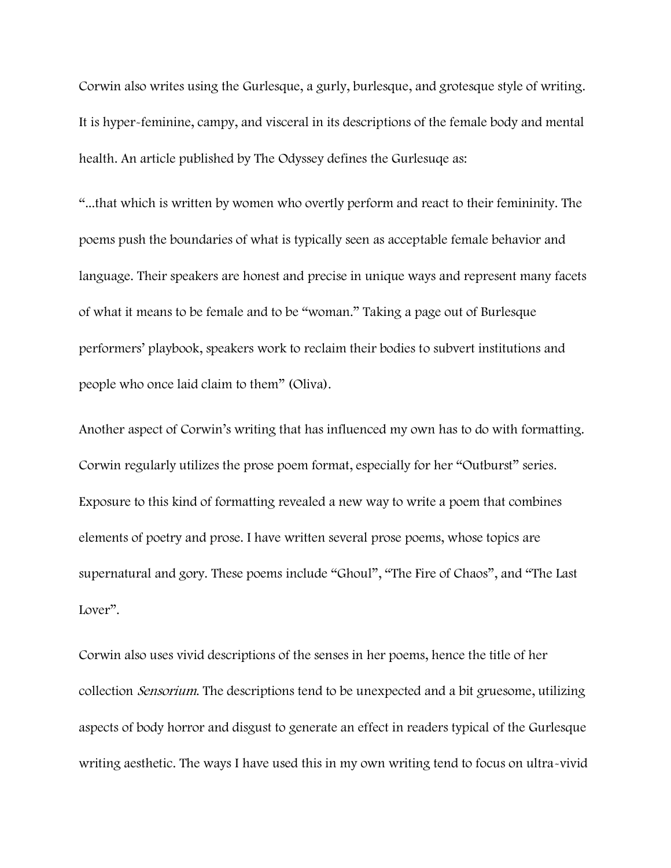Corwin also writes using the Gurlesque, a gurly, burlesque, and grotesque style of writing. It is hyper-feminine, campy, and visceral in its descriptions of the female body and mental health. An article published by The Odyssey defines the Gurlesuqe as:

"...that which is written by women who overtly perform and react to their femininity. The poems push the boundaries of what is typically seen as acceptable female behavior and language. Their speakers are honest and precise in unique ways and represent many facets of what it means to be female and to be "woman." Taking a page out of Burlesque performers' playbook, speakers work to reclaim their bodies to subvert institutions and people who once laid claim to them" (Oliva).

Another aspect of Corwin's writing that has influenced my own has to do with formatting. Corwin regularly utilizes the prose poem format, especially for her "Outburst" series. Exposure to this kind of formatting revealed a new way to write a poem that combines elements of poetry and prose. I have written several prose poems, whose topics are supernatural and gory. These poems include "Ghoul", "The Fire of Chaos", and "The Last Lover".

Corwin also uses vivid descriptions of the senses in her poems, hence the title of her collection *Sensorium*. The descriptions tend to be unexpected and a bit gruesome, utilizing aspects of body horror and disgust to generate an effect in readers typical of the Gurlesque writing aesthetic. The ways I have used this in my own writing tend to focus on ultra-vivid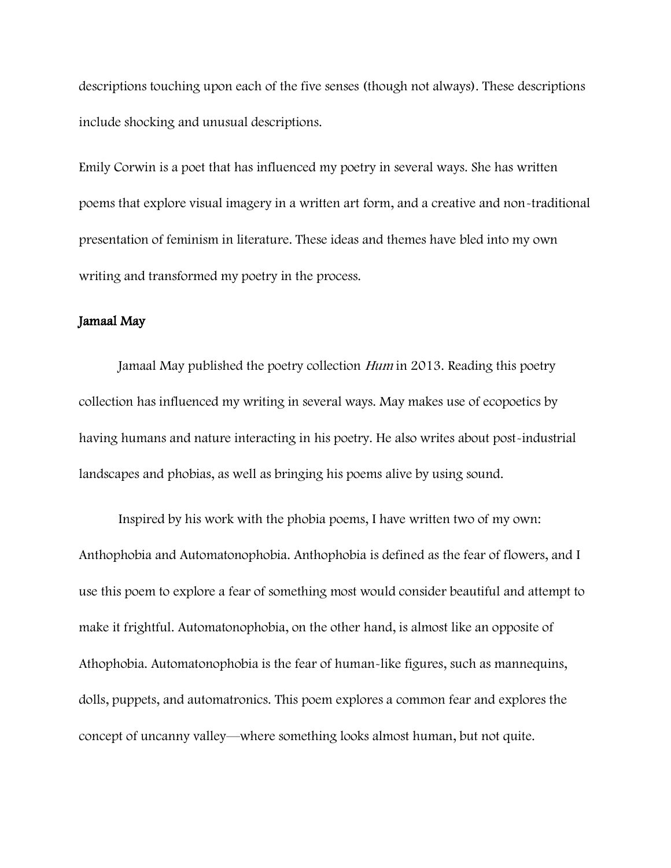descriptions touching upon each of the five senses (though not always). These descriptions include shocking and unusual descriptions.

Emily Corwin is a poet that has influenced my poetry in several ways. She has written poems that explore visual imagery in a written art form, and a creative and non-traditional presentation of feminism in literature. These ideas and themes have bled into my own writing and transformed my poetry in the process.

# Jamaal May

Jamaal May published the poetry collection Hum in 2013. Reading this poetry collection has influenced my writing in several ways. May makes use of ecopoetics by having humans and nature interacting in his poetry. He also writes about post-industrial landscapes and phobias, as well as bringing his poems alive by using sound.

Inspired by his work with the phobia poems, I have written two of my own: Anthophobia and Automatonophobia. Anthophobia is defined as the fear of flowers, and I use this poem to explore a fear of something most would consider beautiful and attempt to make it frightful. Automatonophobia, on the other hand, is almost like an opposite of Athophobia. Automatonophobia is the fear of human-like figures, such as mannequins, dolls, puppets, and automatronics. This poem explores a common fear and explores the concept of uncanny valley—where something looks almost human, but not quite.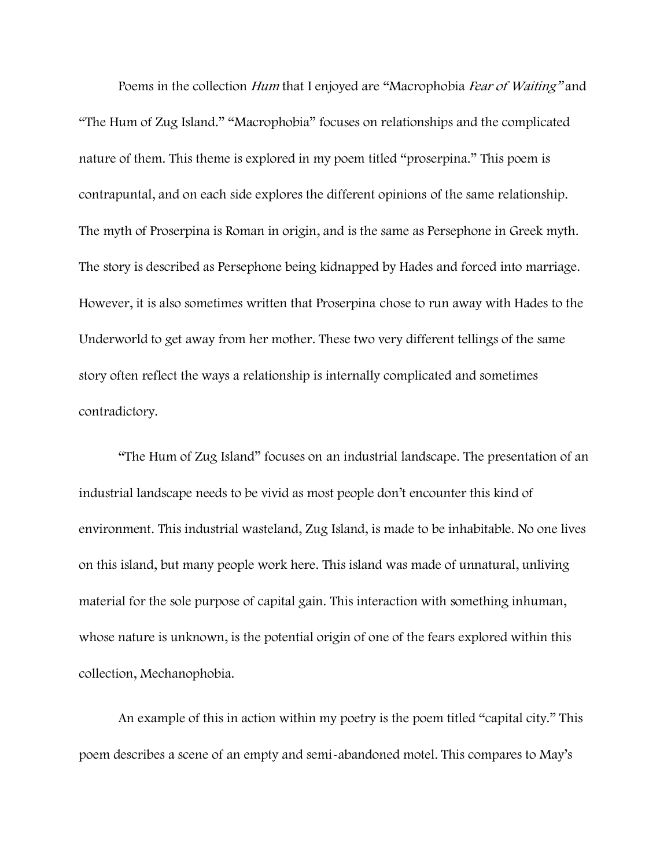Poems in the collection Hum that I enjoyed are "Macrophobia Fear of Waiting" and "The Hum of Zug Island." "Macrophobia" focuses on relationships and the complicated nature of them. This theme is explored in my poem titled "proserpina." This poem is contrapuntal, and on each side explores the different opinions of the same relationship. The myth of Proserpina is Roman in origin, and is the same as Persephone in Greek myth. The story is described as Persephone being kidnapped by Hades and forced into marriage. However, it is also sometimes written that Proserpina chose to run away with Hades to the Underworld to get away from her mother. These two very different tellings of the same story often reflect the ways a relationship is internally complicated and sometimes contradictory.

"The Hum of Zug Island" focuses on an industrial landscape. The presentation of an industrial landscape needs to be vivid as most people don't encounter this kind of environment. This industrial wasteland, Zug Island, is made to be inhabitable. No one lives on this island, but many people work here. This island was made of unnatural, unliving material for the sole purpose of capital gain. This interaction with something inhuman, whose nature is unknown, is the potential origin of one of the fears explored within this collection, Mechanophobia.

An example of this in action within my poetry is the poem titled "capital city." This poem describes a scene of an empty and semi-abandoned motel. This compares to May's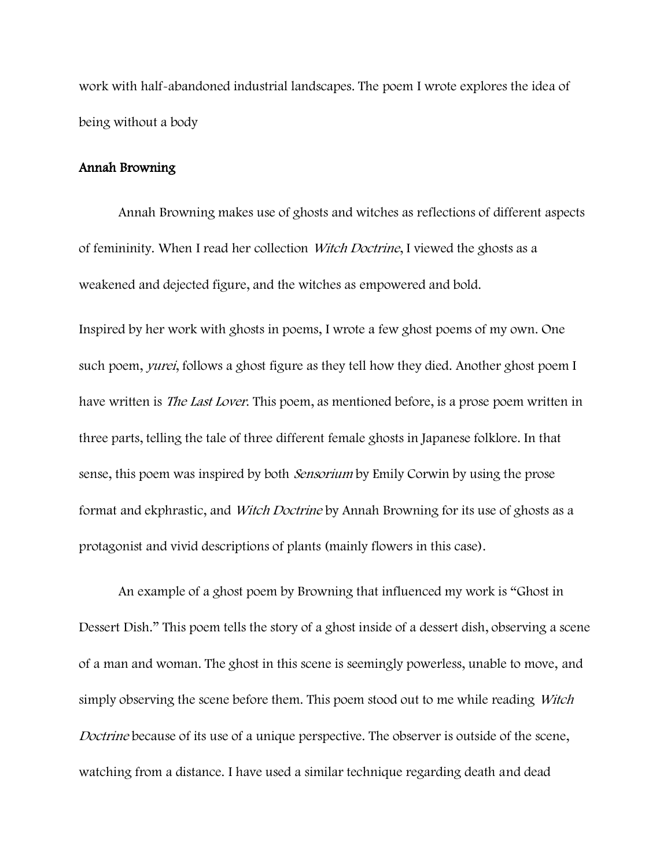work with half-abandoned industrial landscapes. The poem I wrote explores the idea of being without a body

# Annah Browning

Annah Browning makes use of ghosts and witches as reflections of different aspects of femininity. When I read her collection Witch Doctrine, I viewed the ghosts as a weakened and dejected figure, and the witches as empowered and bold.

Inspired by her work with ghosts in poems, I wrote a few ghost poems of my own. One such poem, *yurei*, follows a ghost figure as they tell how they died. Another ghost poem I have written is *The Last Lover*. This poem, as mentioned before, is a prose poem written in three parts, telling the tale of three different female ghosts in Japanese folklore. In that sense, this poem was inspired by both *Sensorium* by Emily Corwin by using the prose format and ekphrastic, and *Witch Doctrine* by Annah Browning for its use of ghosts as a protagonist and vivid descriptions of plants (mainly flowers in this case).

An example of a ghost poem by Browning that influenced my work is "Ghost in Dessert Dish." This poem tells the story of a ghost inside of a dessert dish, observing a scene of a man and woman. The ghost in this scene is seemingly powerless, unable to move, and simply observing the scene before them. This poem stood out to me while reading *Witch* Doctrine because of its use of a unique perspective. The observer is outside of the scene, watching from a distance. I have used a similar technique regarding death and dead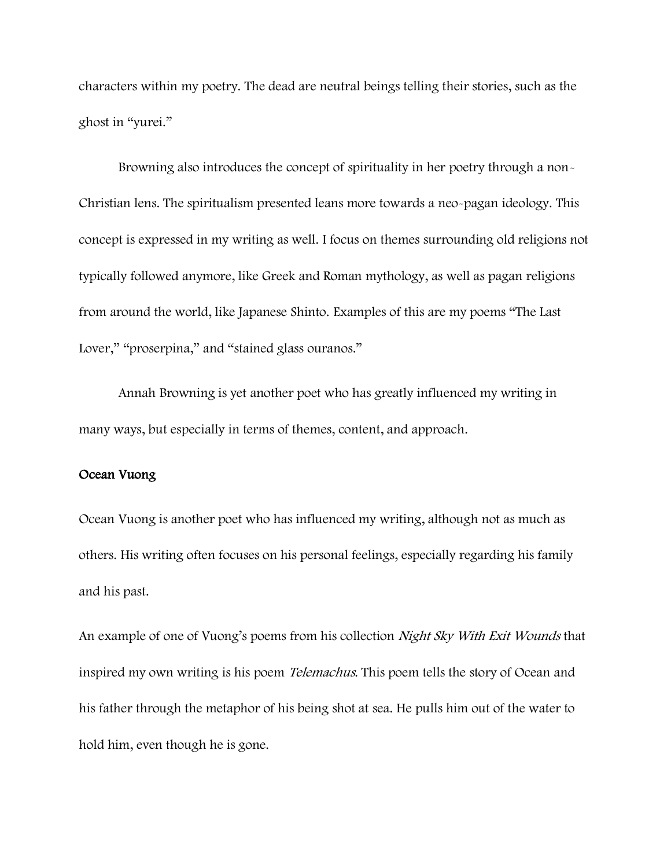characters within my poetry. The dead are neutral beings telling their stories, such as the ghost in "yurei."

Browning also introduces the concept of spirituality in her poetry through a non-Christian lens. The spiritualism presented leans more towards a neo-pagan ideology. This concept is expressed in my writing as well. I focus on themes surrounding old religions not typically followed anymore, like Greek and Roman mythology, as well as pagan religions from around the world, like Japanese Shinto. Examples of this are my poems "The Last Lover," "proserpina," and "stained glass ouranos."

Annah Browning is yet another poet who has greatly influenced my writing in many ways, but especially in terms of themes, content, and approach.

# Ocean Vuong

Ocean Vuong is another poet who has influenced my writing, although not as much as others. His writing often focuses on his personal feelings, especially regarding his family and his past.

An example of one of Vuong's poems from his collection Night Sky With Exit Wounds that inspired my own writing is his poem *Telemachus*. This poem tells the story of Ocean and his father through the metaphor of his being shot at sea. He pulls him out of the water to hold him, even though he is gone.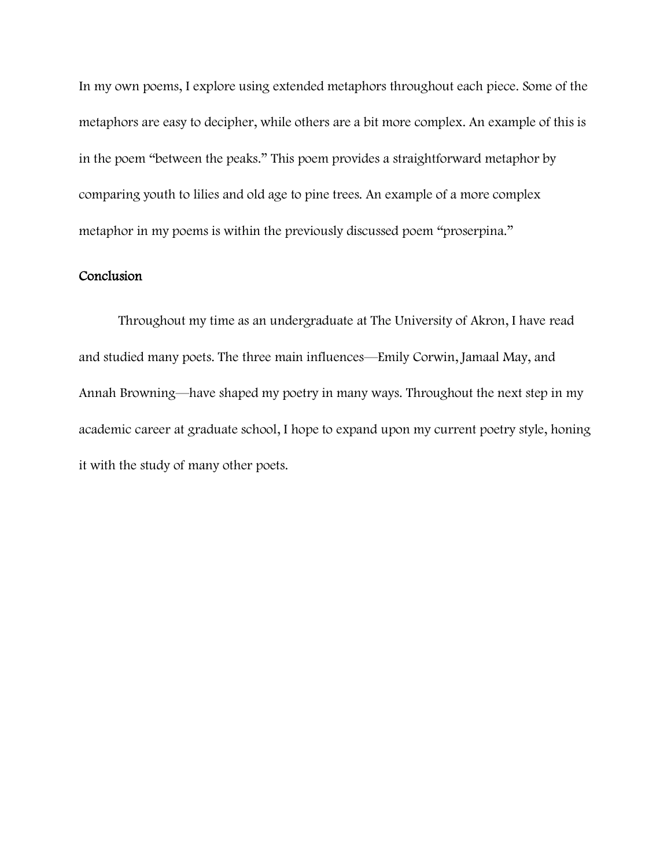In my own poems, I explore using extended metaphors throughout each piece. Some of the metaphors are easy to decipher, while others are a bit more complex. An example of this is in the poem "between the peaks." This poem provides a straightforward metaphor by comparing youth to lilies and old age to pine trees. An example of a more complex metaphor in my poems is within the previously discussed poem "proserpina."

# Conclusion

Throughout my time as an undergraduate at The University of Akron, I have read and studied many poets. The three main influences—Emily Corwin, Jamaal May, and Annah Browning—have shaped my poetry in many ways. Throughout the next step in my academic career at graduate school, I hope to expand upon my current poetry style, honing it with the study of many other poets.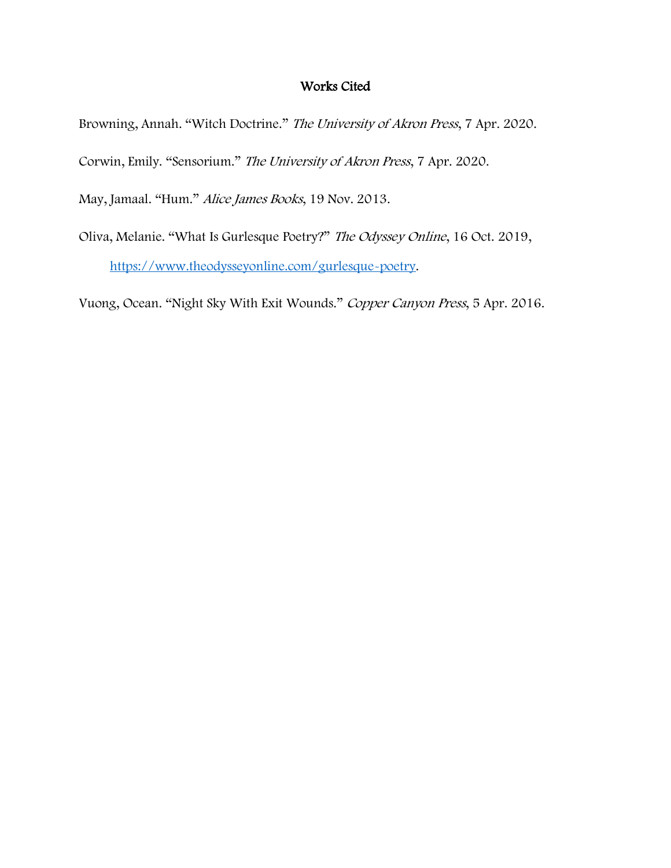# Works Cited

Browning, Annah. "Witch Doctrine." The University of Akron Press, 7 Apr. 2020.

Corwin, Emily. "Sensorium." The University of Akron Press, 7 Apr. 2020.

May, Jamaal. "Hum." Alice James Books, 19 Nov. 2013.

Oliva, Melanie. "What Is Gurlesque Poetry?" The Odyssey Online, 16 Oct. 2019, [https://www.theodysseyonline.com/gurlesque-poetry.](https://www.theodysseyonline.com/gurlesque-poetry)

Vuong, Ocean. "Night Sky With Exit Wounds." Copper Canyon Press, 5 Apr. 2016.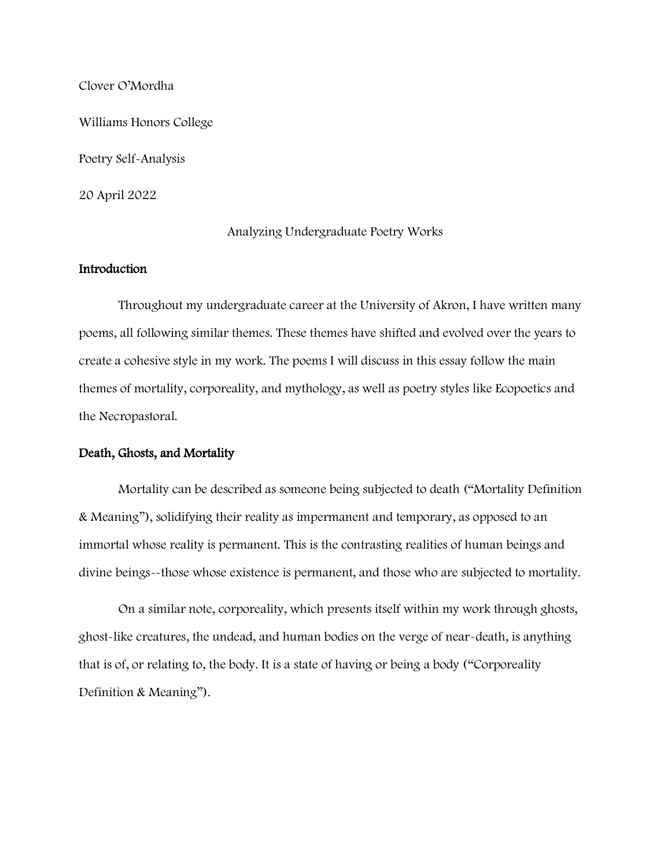Clover O'Mordha

Williams Honors College

Poetry Self-Analysis

20 April 2022

# Analyzing Undergraduate Poetry Works

# Introduction

Throughout my undergraduate career at the University of Akron, I have written many poems, all following similar themes. These themes have shifted and evolved over the years to create a cohesive style in my work. The poems I will discuss in this essay follow the main themes of mortality, corporeality, and mythology, as well as poetry styles like Ecopoetics and the Necropastoral.

# Death, Ghosts, and Mortality

Mortality can be described as someone being subjected to death ("Mortality Definition & Meaning"), solidifying their reality as impermanent and temporary, as opposed to an immortal whose reality is permanent. This is the contrasting realities of human beings and divine beings--those whose existence is permanent, and those who are subjected to mortality.

On a similar note, corporeality, which presents itself within my work through ghosts, ghost-like creatures, the undead, and human bodies on the verge of near-death, is anything that is of, or relating to, the body. It is a state of having or being a body ("Corporeality Definition & Meaning").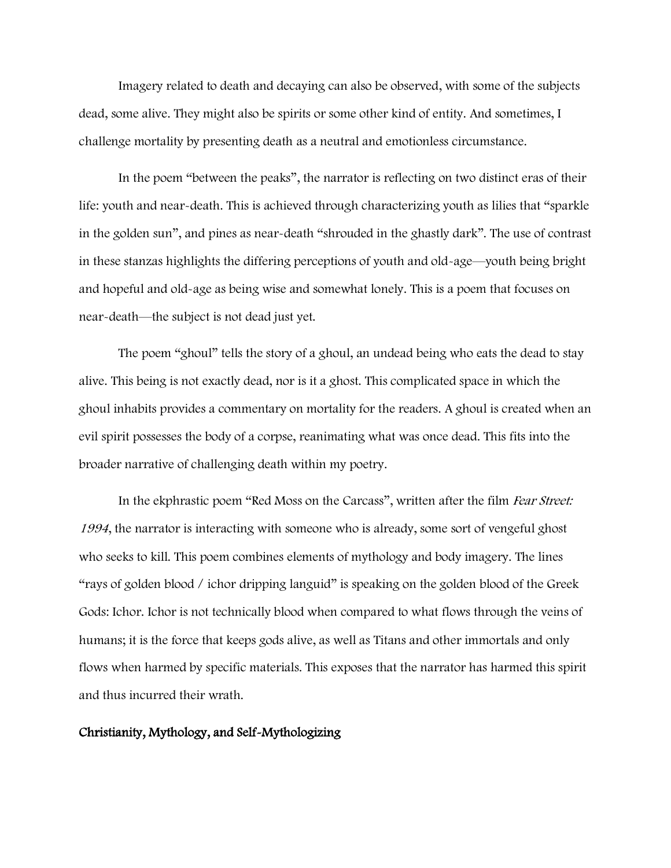Imagery related to death and decaying can also be observed, with some of the subjects dead, some alive. They might also be spirits or some other kind of entity. And sometimes, I challenge mortality by presenting death as a neutral and emotionless circumstance.

In the poem "between the peaks", the narrator is reflecting on two distinct eras of their life: youth and near-death. This is achieved through characterizing youth as lilies that "sparkle in the golden sun", and pines as near-death "shrouded in the ghastly dark". The use of contrast in these stanzas highlights the differing perceptions of youth and old-age—youth being bright and hopeful and old-age as being wise and somewhat lonely. This is a poem that focuses on near-death—the subject is not dead just yet.

The poem "ghoul" tells the story of a ghoul, an undead being who eats the dead to stay alive. This being is not exactly dead, nor is it a ghost. This complicated space in which the ghoul inhabits provides a commentary on mortality for the readers. A ghoul is created when an evil spirit possesses the body of a corpse, reanimating what was once dead. This fits into the broader narrative of challenging death within my poetry.

In the ekphrastic poem "Red Moss on the Carcass", written after the film *Fear Street:* <sup>1994</sup>, the narrator is interacting with someone who is already, some sort of vengeful ghost who seeks to kill. This poem combines elements of mythology and body imagery. The lines "rays of golden blood / ichor dripping languid" is speaking on the golden blood of the Greek Gods: Ichor. Ichor is not technically blood when compared to what flows through the veins of humans; it is the force that keeps gods alive, as well as Titans and other immortals and only flows when harmed by specific materials. This exposes that the narrator has harmed this spirit and thus incurred their wrath.

## Christianity, Mythology, and Self-Mythologizing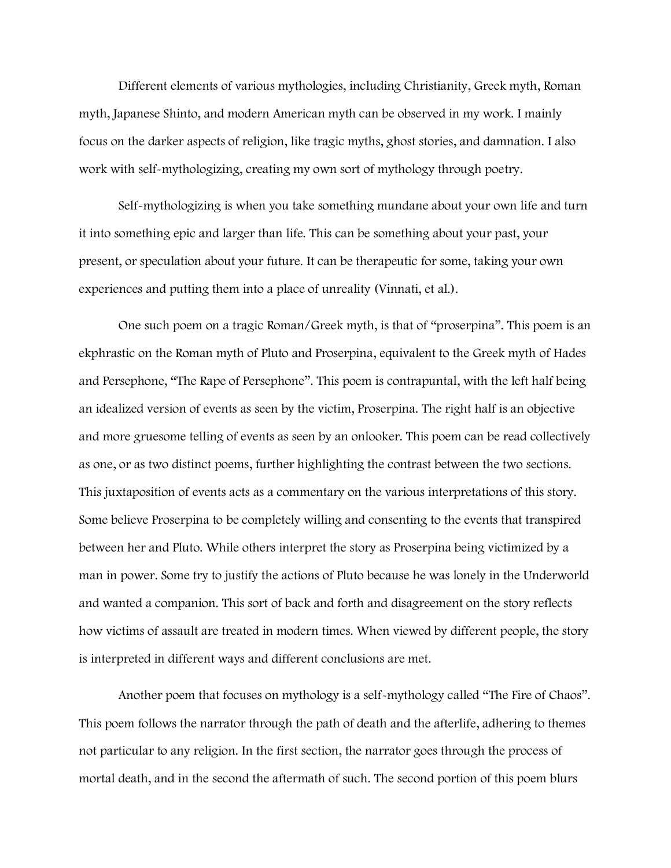Different elements of various mythologies, including Christianity, Greek myth, Roman myth, Japanese Shinto, and modern American myth can be observed in my work. I mainly focus on the darker aspects of religion, like tragic myths, ghost stories, and damnation. I also work with self-mythologizing, creating my own sort of mythology through poetry.

Self-mythologizing is when you take something mundane about your own life and turn it into something epic and larger than life. This can be something about your past, your present, or speculation about your future. It can be therapeutic for some, taking your own experiences and putting them into a place of unreality (Vinnati, et al.).

One such poem on a tragic Roman/Greek myth, is that of "proserpina". This poem is an ekphrastic on the Roman myth of Pluto and Proserpina, equivalent to the Greek myth of Hades and Persephone, "The Rape of Persephone". This poem is contrapuntal, with the left half being an idealized version of events as seen by the victim, Proserpina. The right half is an objective and more gruesome telling of events as seen by an onlooker. This poem can be read collectively as one, or as two distinct poems, further highlighting the contrast between the two sections. This juxtaposition of events acts as a commentary on the various interpretations of this story. Some believe Proserpina to be completely willing and consenting to the events that transpired between her and Pluto. While others interpret the story as Proserpina being victimized by a man in power. Some try to justify the actions of Pluto because he was lonely in the Underworld and wanted a companion. This sort of back and forth and disagreement on the story reflects how victims of assault are treated in modern times. When viewed by different people, the story is interpreted in different ways and different conclusions are met.

Another poem that focuses on mythology is a self-mythology called "The Fire of Chaos". This poem follows the narrator through the path of death and the afterlife, adhering to themes not particular to any religion. In the first section, the narrator goes through the process of mortal death, and in the second the aftermath of such. The second portion of this poem blurs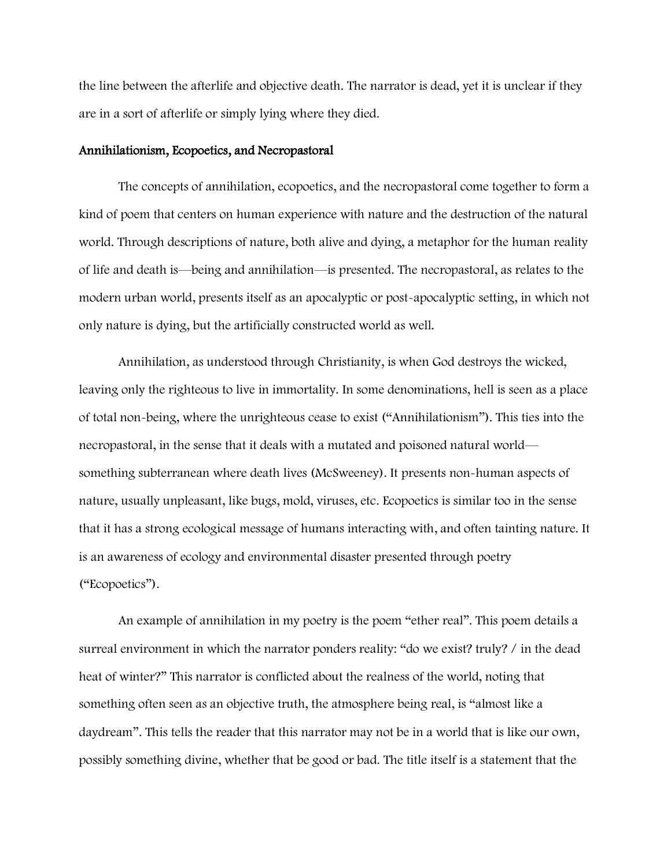the line between the afterlife and objective death. The narrator is dead, yet it is unclear if they are in a sort of afterlife or simply lying where they died.

## Annihilationism, Ecopoetics, and Necropastoral

The concepts of annihilation, ecopoetics, and the necropastoral come together to form a kind of poem that centers on human experience with nature and the destruction of the natural world. Through descriptions of nature, both alive and dying, a metaphor for the human reality of life and death is—being and annihilation—is presented. The necropastoral, as relates to the modern urban world, presents itself as an apocalyptic or post-apocalyptic setting, in which not only nature is dying, but the artificially constructed world as well.

Annihilation, as understood through Christianity, is when God destroys the wicked, leaving only the righteous to live in immortality. In some denominations, hell is seen as a place of total non-being, where the unrighteous cease to exist ("Annihilationism"). This ties into the necropastoral, in the sense that it deals with a mutated and poisoned natural world something subterranean where death lives (McSweeney). It presents non-human aspects of nature, usually unpleasant, like bugs, mold, viruses, etc. Ecopoetics is similar too in the sense that it has a strong ecological message of humans interacting with, and often tainting nature. It is an awareness of ecology and environmental disaster presented through poetry ("Ecopoetics").

An example of annihilation in my poetry is the poem "ether real". This poem details a surreal environment in which the narrator ponders reality: "do we exist? truly? / in the dead heat of winter?" This narrator is conflicted about the realness of the world, noting that something often seen as an objective truth, the atmosphere being real, is "almost like a daydream". This tells the reader that this narrator may not be in a world that is like our own, possibly something divine, whether that be good or bad. The title itself is a statement that the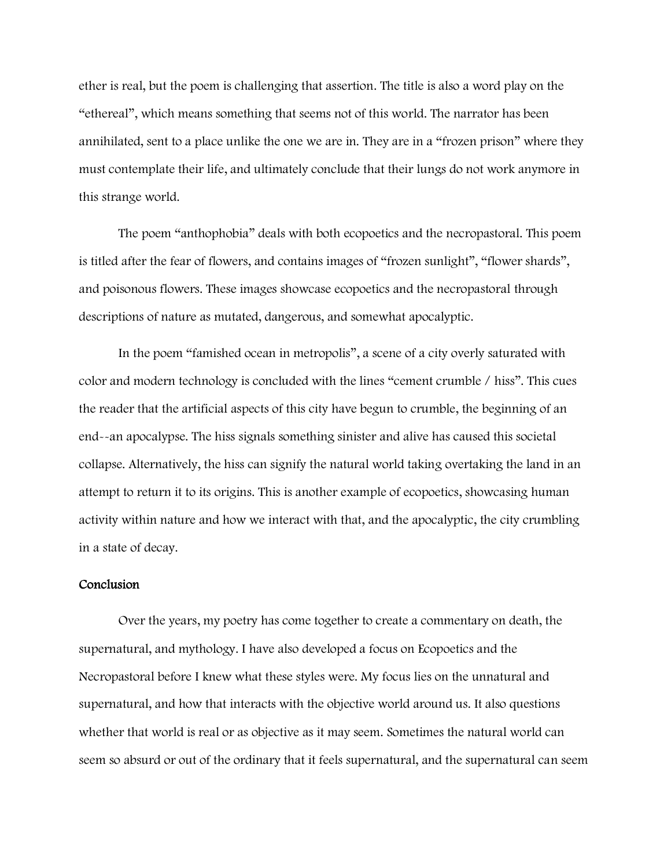ether is real, but the poem is challenging that assertion. The title is also a word play on the "ethereal", which means something that seems not of this world. The narrator has been annihilated, sent to a place unlike the one we are in. They are in a "frozen prison" where they must contemplate their life, and ultimately conclude that their lungs do not work anymore in this strange world.

The poem "anthophobia" deals with both ecopoetics and the necropastoral. This poem is titled after the fear of flowers, and contains images of "frozen sunlight", "flower shards", and poisonous flowers. These images showcase ecopoetics and the necropastoral through descriptions of nature as mutated, dangerous, and somewhat apocalyptic.

In the poem "famished ocean in metropolis", a scene of a city overly saturated with color and modern technology is concluded with the lines "cement crumble / hiss". This cues the reader that the artificial aspects of this city have begun to crumble, the beginning of an end--an apocalypse. The hiss signals something sinister and alive has caused this societal collapse. Alternatively, the hiss can signify the natural world taking overtaking the land in an attempt to return it to its origins. This is another example of ecopoetics, showcasing human activity within nature and how we interact with that, and the apocalyptic, the city crumbling in a state of decay.

## Conclusion

Over the years, my poetry has come together to create a commentary on death, the supernatural, and mythology. I have also developed a focus on Ecopoetics and the Necropastoral before I knew what these styles were. My focus lies on the unnatural and supernatural, and how that interacts with the objective world around us. It also questions whether that world is real or as objective as it may seem. Sometimes the natural world can seem so absurd or out of the ordinary that it feels supernatural, and the supernatural can seem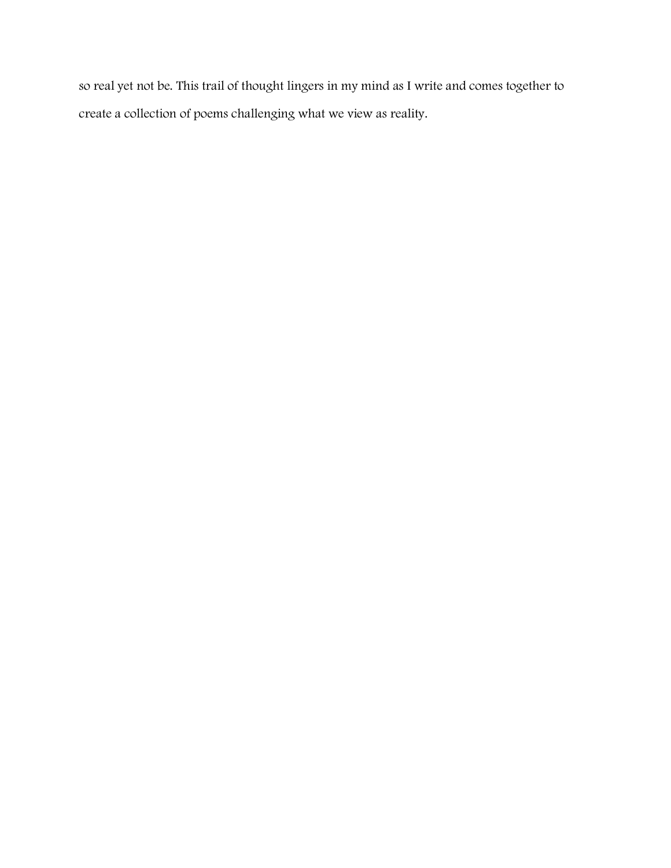so real yet not be. This trail of thought lingers in my mind as I write and comes together to create a collection of poems challenging what we view as reality.